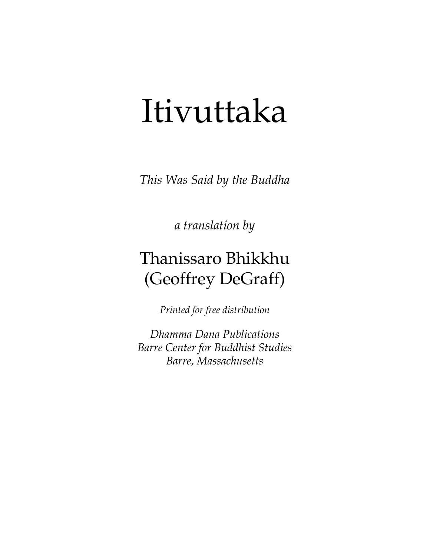# Itivuttaka

*This Was Said by the Buddha* 

*a translation by* 

# Thanissaro Bhikkhu (Geoffrey DeGraff)

*Printed for free distribution* 

*Dhamma Dana Publications Barre Center for Buddhist Studies Barre, Massachusetts*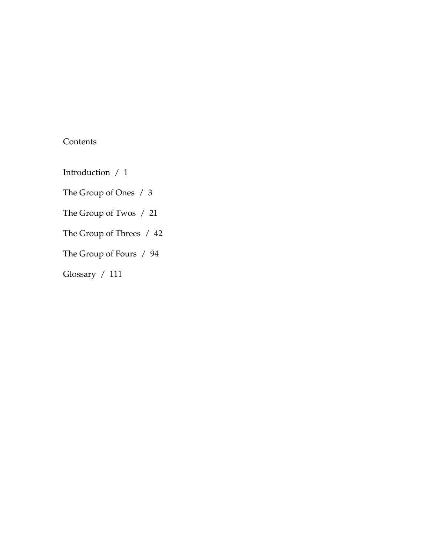# **Contents**

Introduction / 1

The Group of Ones / 3

The Group of Twos / 21

The Group of Threes / 42

The Group of Fours / 94

Glossary / 111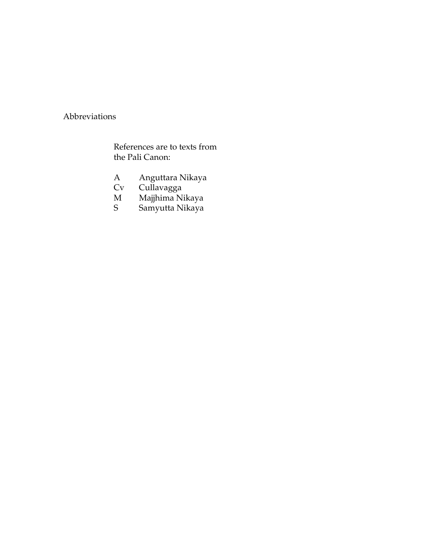## Abbreviations

References are to texts from the Pali Canon:

- A Anguttara Nikaya<br>Cv Cullavagga
- Cv Cullavagga<br>M Majihima Ni
- M Majjhima Nikaya
- S Samyutta Nikaya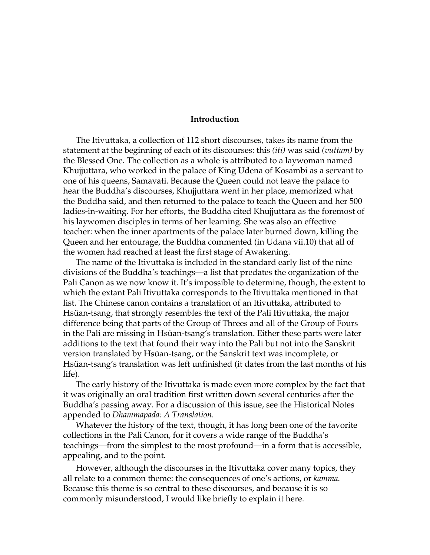#### **Introduction**

The Itivuttaka, a collection of 112 short discourses, takes its name from the statement at the beginning of each of its discourses: this *(iti)* was said *(vuttam)* by the Blessed One. The collection as a whole is attributed to a laywoman named Khujjuttara, who worked in the palace of King Udena of Kosambi as a servant to one of his queens, Samavati. Because the Queen could not leave the palace to hear the Buddha's discourses, Khujjuttara went in her place, memorized what the Buddha said, and then returned to the palace to teach the Queen and her 500 ladies-in-waiting. For her efforts, the Buddha cited Khujjuttara as the foremost of his laywomen disciples in terms of her learning. She was also an effective teacher: when the inner apartments of the palace later burned down, killing the Queen and her entourage, the Buddha commented (in Udana vii.10) that all of the women had reached at least the first stage of Awakening.

The name of the Itivuttaka is included in the standard early list of the nine divisions of the Buddha's teachings—a list that predates the organization of the Pali Canon as we now know it. It's impossible to determine, though, the extent to which the extant Pali Itivuttaka corresponds to the Itivuttaka mentioned in that list. The Chinese canon contains a translation of an Itivuttaka, attributed to Hsüan-tsang, that strongly resembles the text of the Pali Itivuttaka, the major difference being that parts of the Group of Threes and all of the Group of Fours in the Pali are missing in Hsüan-tsang's translation. Either these parts were later additions to the text that found their way into the Pali but not into the Sanskrit version translated by Hsüan-tsang, or the Sanskrit text was incomplete, or Hsüan-tsang's translation was left unfinished (it dates from the last months of his life).

The early history of the Itivuttaka is made even more complex by the fact that it was originally an oral tradition first written down several centuries after the Buddha's passing away. For a discussion of this issue, see the Historical Notes appended to *Dhammapada: A Translation.* 

Whatever the history of the text, though, it has long been one of the favorite collections in the Pali Canon, for it covers a wide range of the Buddha's teachings—from the simplest to the most profound—in a form that is accessible, appealing, and to the point.

However, although the discourses in the Itivuttaka cover many topics, they all relate to a common theme: the consequences of one's actions, or *kamma.* Because this theme is so central to these discourses, and because it is so commonly misunderstood, I would like briefly to explain it here.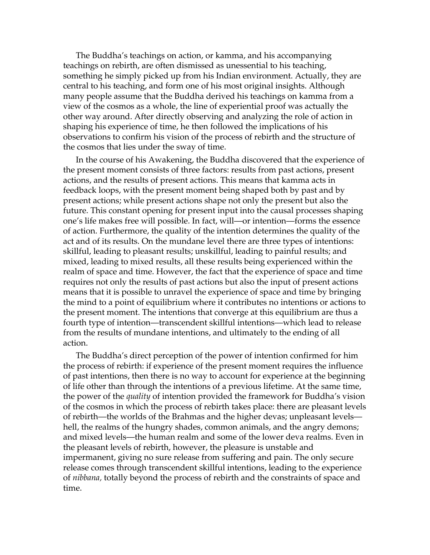The Buddha's teachings on action, or kamma, and his accompanying teachings on rebirth, are often dismissed as unessential to his teaching, something he simply picked up from his Indian environment. Actually, they are central to his teaching, and form one of his most original insights. Although many people assume that the Buddha derived his teachings on kamma from a view of the cosmos as a whole, the line of experiential proof was actually the other way around. After directly observing and analyzing the role of action in shaping his experience of time, he then followed the implications of his observations to confirm his vision of the process of rebirth and the structure of the cosmos that lies under the sway of time.

In the course of his Awakening, the Buddha discovered that the experience of the present moment consists of three factors: results from past actions, present actions, and the results of present actions. This means that kamma acts in feedback loops, with the present moment being shaped both by past and by present actions; while present actions shape not only the present but also the future. This constant opening for present input into the causal processes shaping one's life makes free will possible. In fact, will—or intention—forms the essence of action. Furthermore, the quality of the intention determines the quality of the act and of its results. On the mundane level there are three types of intentions: skillful, leading to pleasant results; unskillful, leading to painful results; and mixed, leading to mixed results, all these results being experienced within the realm of space and time. However, the fact that the experience of space and time requires not only the results of past actions but also the input of present actions means that it is possible to unravel the experience of space and time by bringing the mind to a point of equilibrium where it contributes no intentions or actions to the present moment. The intentions that converge at this equilibrium are thus a fourth type of intention—transcendent skillful intentions—which lead to release from the results of mundane intentions, and ultimately to the ending of all action.

The Buddha's direct perception of the power of intention confirmed for him the process of rebirth: if experience of the present moment requires the influence of past intentions, then there is no way to account for experience at the beginning of life other than through the intentions of a previous lifetime. At the same time, the power of the *quality* of intention provided the framework for Buddha's vision of the cosmos in which the process of rebirth takes place: there are pleasant levels of rebirth—the worlds of the Brahmas and the higher devas; unpleasant levels hell, the realms of the hungry shades, common animals, and the angry demons; and mixed levels—the human realm and some of the lower deva realms. Even in the pleasant levels of rebirth, however, the pleasure is unstable and impermanent, giving no sure release from suffering and pain. The only secure release comes through transcendent skillful intentions, leading to the experience of *nibbana,* totally beyond the process of rebirth and the constraints of space and time.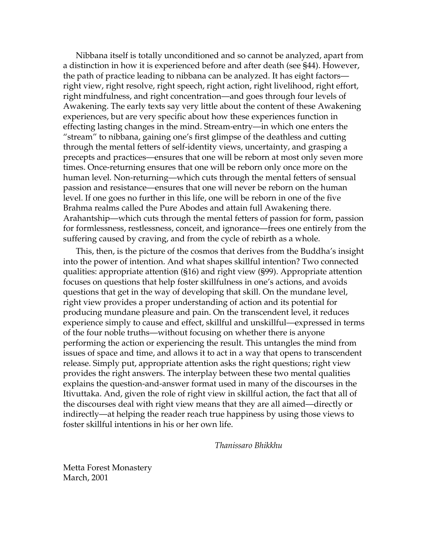Nibbana itself is totally unconditioned and so cannot be analyzed, apart from a distinction in how it is experienced before and after death (see §44). However, the path of practice leading to nibbana can be analyzed. It has eight factors right view, right resolve, right speech, right action, right livelihood, right effort, right mindfulness, and right concentration—and goes through four levels of Awakening. The early texts say very little about the content of these Awakening experiences, but are very specific about how these experiences function in effecting lasting changes in the mind. Stream-entry—in which one enters the "stream" to nibbana, gaining one's first glimpse of the deathless and cutting through the mental fetters of self-identity views, uncertainty, and grasping a precepts and practices—ensures that one will be reborn at most only seven more times. Once-returning ensures that one will be reborn only once more on the human level. Non-returning—which cuts through the mental fetters of sensual passion and resistance—ensures that one will never be reborn on the human level. If one goes no further in this life, one will be reborn in one of the five Brahma realms called the Pure Abodes and attain full Awakening there. Arahantship—which cuts through the mental fetters of passion for form, passion for formlessness, restlessness, conceit, and ignorance—frees one entirely from the suffering caused by craving, and from the cycle of rebirth as a whole.

This, then, is the picture of the cosmos that derives from the Buddha's insight into the power of intention. And what shapes skillful intention? Two connected qualities: appropriate attention (§16) and right view (§99). Appropriate attention focuses on questions that help foster skillfulness in one's actions, and avoids questions that get in the way of developing that skill. On the mundane level, right view provides a proper understanding of action and its potential for producing mundane pleasure and pain. On the transcendent level, it reduces experience simply to cause and effect, skillful and unskillful—expressed in terms of the four noble truths—without focusing on whether there is anyone performing the action or experiencing the result. This untangles the mind from issues of space and time, and allows it to act in a way that opens to transcendent release. Simply put, appropriate attention asks the right questions; right view provides the right answers. The interplay between these two mental qualities explains the question-and-answer format used in many of the discourses in the Itivuttaka. And, given the role of right view in skillful action, the fact that all of the discourses deal with right view means that they are all aimed—directly or indirectly—at helping the reader reach true happiness by using those views to foster skillful intentions in his or her own life.

*Thanissaro Bhikkhu* 

Metta Forest Monastery March, 2001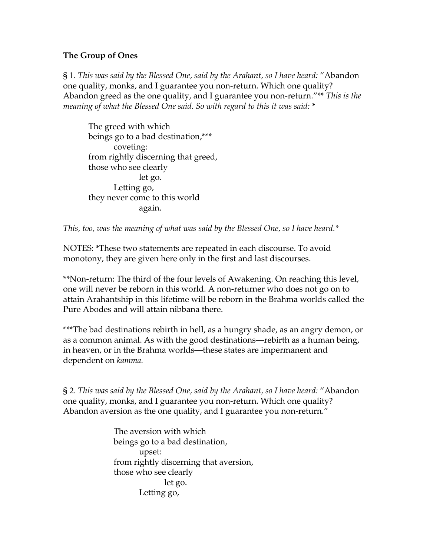### **The Group of Ones**

§ 1. *This was said by the Blessed One, said by the Arahant, so I have heard:* "Abandon one quality, monks, and I guarantee you non-return. Which one quality? Abandon greed as the one quality, and I guarantee you non-return."\*\* *This is the meaning of what the Blessed One said. So with regard to this it was said:* \*

The greed with which beings go to a bad destination,\*\*\* coveting: from rightly discerning that greed, those who see clearly let go. Letting go, they never come to this world again.

*This, too, was the meaning of what was said by the Blessed One, so I have heard.\** 

NOTES: \*These two statements are repeated in each discourse. To avoid monotony, they are given here only in the first and last discourses.

\*\*Non-return: The third of the four levels of Awakening. On reaching this level, one will never be reborn in this world. A non-returner who does not go on to attain Arahantship in this lifetime will be reborn in the Brahma worlds called the Pure Abodes and will attain nibbana there.

\*\*\*The bad destinations rebirth in hell, as a hungry shade, as an angry demon, or as a common animal. As with the good destinations—rebirth as a human being, in heaven, or in the Brahma worlds—these states are impermanent and dependent on *kamma.* 

§ 2. *This was said by the Blessed One, said by the Arahant, so I have heard:* "Abandon one quality, monks, and I guarantee you non-return. Which one quality? Abandon aversion as the one quality, and I guarantee you non-return."

> The aversion with which beings go to a bad destination, upset: from rightly discerning that aversion, those who see clearly let go. Letting go,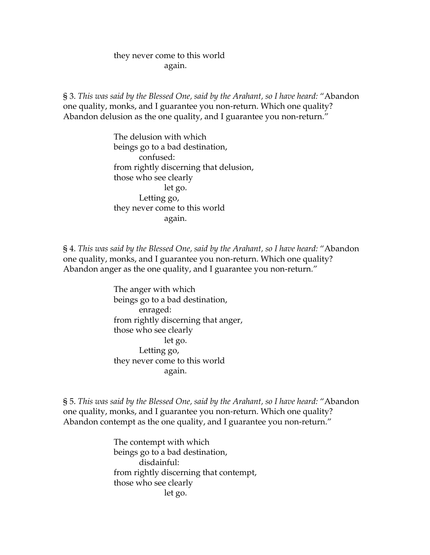#### they never come to this world again.

§ 3. *This was said by the Blessed One, said by the Arahant, so I have heard:* "Abandon one quality, monks, and I guarantee you non-return. Which one quality? Abandon delusion as the one quality, and I guarantee you non-return."

> The delusion with which beings go to a bad destination, confused: from rightly discerning that delusion, those who see clearly let go. Letting go, they never come to this world again.

§ 4. *This was said by the Blessed One, said by the Arahant, so I have heard:* "Abandon one quality, monks, and I guarantee you non-return. Which one quality? Abandon anger as the one quality, and I guarantee you non-return."

> The anger with which beings go to a bad destination, enraged: from rightly discerning that anger, those who see clearly let go. Letting go, they never come to this world again.

§ 5. *This was said by the Blessed One, said by the Arahant, so I have heard:* "Abandon one quality, monks, and I guarantee you non-return. Which one quality? Abandon contempt as the one quality, and I guarantee you non-return."

> The contempt with which beings go to a bad destination, disdainful: from rightly discerning that contempt, those who see clearly let go.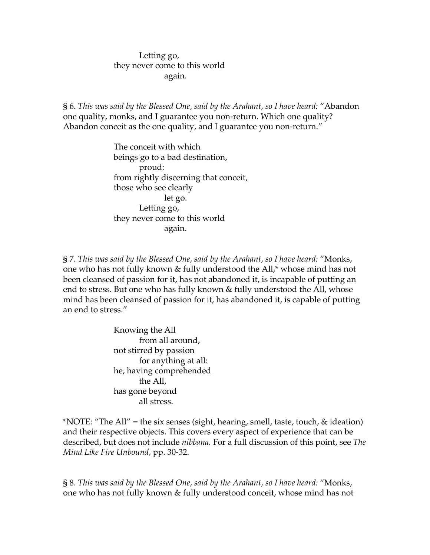#### Letting go, they never come to this world again.

§ 6. *This was said by the Blessed One, said by the Arahant, so I have heard:* "Abandon one quality, monks, and I guarantee you non-return. Which one quality? Abandon conceit as the one quality, and I guarantee you non-return."

> The conceit with which beings go to a bad destination, proud: from rightly discerning that conceit, those who see clearly let go. Letting go, they never come to this world again.

§ 7. *This was said by the Blessed One, said by the Arahant, so I have heard:* "Monks, one who has not fully known & fully understood the All,\* whose mind has not been cleansed of passion for it, has not abandoned it, is incapable of putting an end to stress. But one who has fully known & fully understood the All, whose mind has been cleansed of passion for it, has abandoned it, is capable of putting an end to stress."

> Knowing the All from all around, not stirred by passion for anything at all: he, having comprehended the All, has gone beyond all stress.

\*NOTE: "The All" = the six senses (sight, hearing, smell, taste, touch, & ideation) and their respective objects. This covers every aspect of experience that can be described, but does not include *nibbana.* For a full discussion of this point, see *The Mind Like Fire Unbound,* pp. 30-32.

§ 8. *This was said by the Blessed One, said by the Arahant, so I have heard:* "Monks, one who has not fully known & fully understood conceit, whose mind has not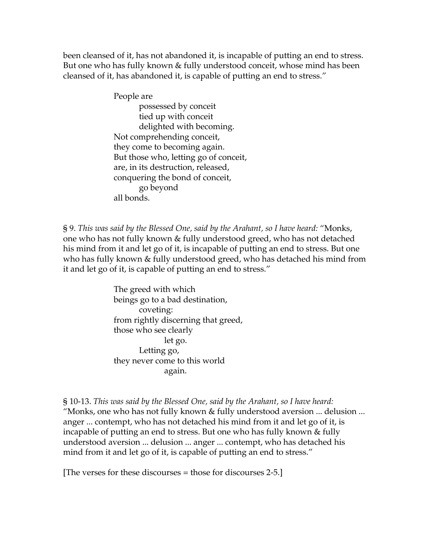been cleansed of it, has not abandoned it, is incapable of putting an end to stress. But one who has fully known & fully understood conceit, whose mind has been cleansed of it, has abandoned it, is capable of putting an end to stress."

> People are possessed by conceit tied up with conceit delighted with becoming. Not comprehending conceit, they come to becoming again. But those who, letting go of conceit, are, in its destruction, released, conquering the bond of conceit, go beyond all bonds.

§ 9. *This was said by the Blessed One, said by the Arahant, so I have heard:* "Monks, one who has not fully known & fully understood greed, who has not detached his mind from it and let go of it, is incapable of putting an end to stress. But one who has fully known & fully understood greed, who has detached his mind from it and let go of it, is capable of putting an end to stress."

> The greed with which beings go to a bad destination, coveting: from rightly discerning that greed, those who see clearly let go. Letting go, they never come to this world again.

§ 10-13. *This was said by the Blessed One, said by the Arahant, so I have heard:*  "Monks, one who has not fully known & fully understood aversion ... delusion ... anger ... contempt, who has not detached his mind from it and let go of it, is incapable of putting an end to stress. But one who has fully known & fully understood aversion ... delusion ... anger ... contempt, who has detached his mind from it and let go of it, is capable of putting an end to stress."

[The verses for these discourses = those for discourses 2-5.]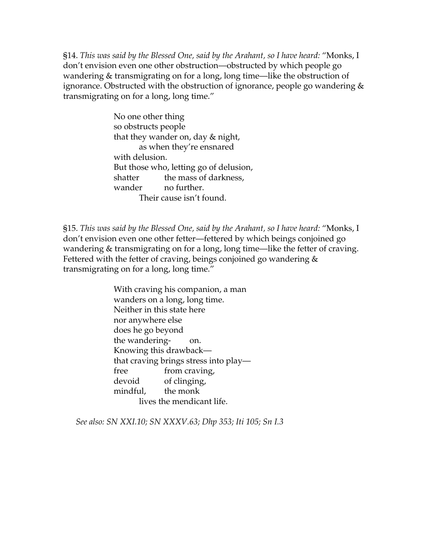§14. *This was said by the Blessed One, said by the Arahant, so I have heard:* "Monks, I don't envision even one other obstruction—obstructed by which people go wandering & transmigrating on for a long, long time—like the obstruction of ignorance. Obstructed with the obstruction of ignorance, people go wandering & transmigrating on for a long, long time."

> No one other thing so obstructs people that they wander on, day & night, as when they're ensnared with delusion. But those who, letting go of delusion, shatter the mass of darkness, wander no further. Their cause isn't found.

§15. *This was said by the Blessed One, said by the Arahant, so I have heard:* "Monks, I don't envision even one other fetter—fettered by which beings conjoined go wandering & transmigrating on for a long, long time—like the fetter of craving. Fettered with the fetter of craving, beings conjoined go wandering  $&$ transmigrating on for a long, long time."

> With craving his companion, a man wanders on a long, long time. Neither in this state here nor anywhere else does he go beyond the wandering- on. Knowing this drawback that craving brings stress into play free from craving, devoid of clinging, mindful, the monk lives the mendicant life.

*See also: SN XXI.10; SN XXXV.63; Dhp 353; Iti 105; Sn I.3*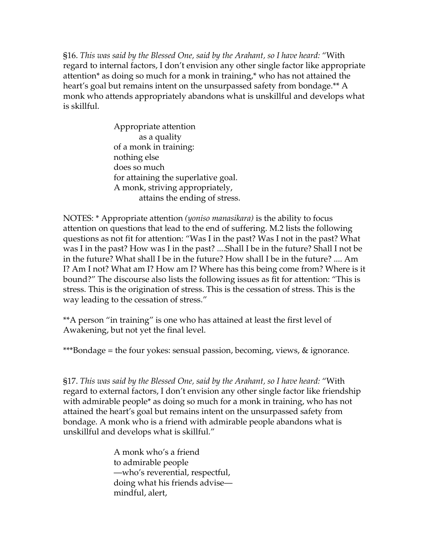§16. *This was said by the Blessed One, said by the Arahant, so I have heard:* "With regard to internal factors, I don't envision any other single factor like appropriate attention\* as doing so much for a monk in training,\* who has not attained the heart's goal but remains intent on the unsurpassed safety from bondage.\*\* A monk who attends appropriately abandons what is unskillful and develops what is skillful.

> Appropriate attention as a quality of a monk in training: nothing else does so much for attaining the superlative goal. A monk, striving appropriately, attains the ending of stress.

NOTES: \* Appropriate attention *(yoniso manasikara)* is the ability to focus attention on questions that lead to the end of suffering. M.2 lists the following questions as not fit for attention: "Was I in the past? Was I not in the past? What was I in the past? How was I in the past? ....Shall I be in the future? Shall I not be in the future? What shall I be in the future? How shall I be in the future? .... Am I? Am I not? What am I? How am I? Where has this being come from? Where is it bound?" The discourse also lists the following issues as fit for attention: "This is stress. This is the origination of stress. This is the cessation of stress. This is the way leading to the cessation of stress."

\*\*A person "in training" is one who has attained at least the first level of Awakening, but not yet the final level.

\*\*\*Bondage = the four yokes: sensual passion, becoming, views, & ignorance.

§17. *This was said by the Blessed One, said by the Arahant, so I have heard:* "With regard to external factors, I don't envision any other single factor like friendship with admirable people\* as doing so much for a monk in training, who has not attained the heart's goal but remains intent on the unsurpassed safety from bondage. A monk who is a friend with admirable people abandons what is unskillful and develops what is skillful."

> A monk who's a friend to admirable people —who's reverential, respectful, doing what his friends advise mindful, alert,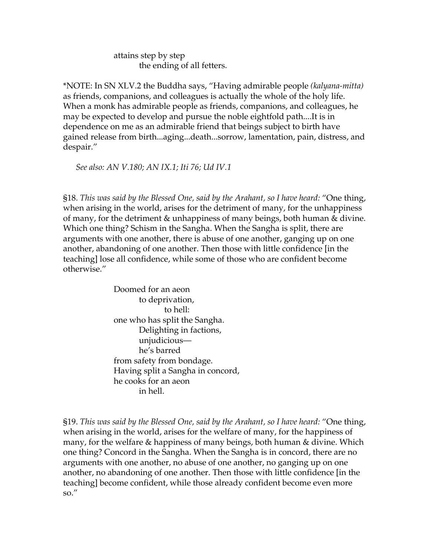attains step by step the ending of all fetters.

\*NOTE: In SN XLV.2 the Buddha says, "Having admirable people *(kalyana-mitta)* as friends, companions, and colleagues is actually the whole of the holy life. When a monk has admirable people as friends, companions, and colleagues, he may be expected to develop and pursue the noble eightfold path....It is in dependence on me as an admirable friend that beings subject to birth have gained release from birth...aging...death...sorrow, lamentation, pain, distress, and despair."

*See also: AN V.180; AN IX.1; Iti 76; Ud IV.1* 

§18. *This was said by the Blessed One, said by the Arahant, so I have heard:* "One thing, when arising in the world, arises for the detriment of many, for the unhappiness of many, for the detriment & unhappiness of many beings, both human & divine. Which one thing? Schism in the Sangha. When the Sangha is split, there are arguments with one another, there is abuse of one another, ganging up on one another, abandoning of one another. Then those with little confidence [in the teaching] lose all confidence, while some of those who are confident become otherwise."

> Doomed for an aeon to deprivation, to hell: one who has split the Sangha. Delighting in factions, unjudicious he's barred from safety from bondage. Having split a Sangha in concord, he cooks for an aeon in hell.

§19. *This was said by the Blessed One, said by the Arahant, so I have heard:* "One thing, when arising in the world, arises for the welfare of many, for the happiness of many, for the welfare & happiness of many beings, both human & divine. Which one thing? Concord in the Sangha. When the Sangha is in concord, there are no arguments with one another, no abuse of one another, no ganging up on one another, no abandoning of one another. Then those with little confidence [in the teaching] become confident, while those already confident become even more so."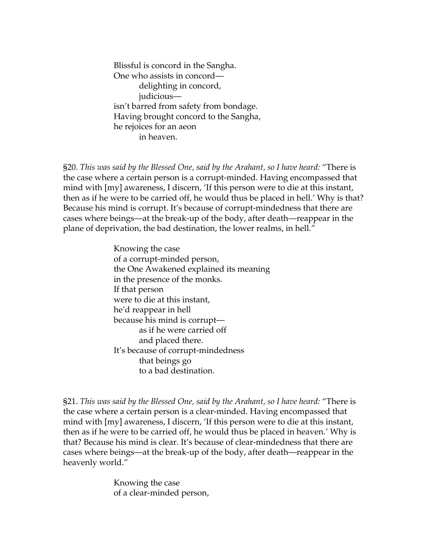Blissful is concord in the Sangha. One who assists in concord delighting in concord, judicious isn't barred from safety from bondage. Having brought concord to the Sangha, he rejoices for an aeon in heaven.

§20. *This was said by the Blessed One, said by the Arahant, so I have heard:* "There is the case where a certain person is a corrupt-minded. Having encompassed that mind with [my] awareness, I discern, 'If this person were to die at this instant, then as if he were to be carried off, he would thus be placed in hell.' Why is that? Because his mind is corrupt. It's because of corrupt-mindedness that there are cases where beings—at the break-up of the body, after death—reappear in the plane of deprivation, the bad destination, the lower realms, in hell."

> Knowing the case of a corrupt-minded person, the One Awakened explained its meaning in the presence of the monks. If that person were to die at this instant, he'd reappear in hell because his mind is corrupt as if he were carried off and placed there. It's because of corrupt-mindedness that beings go to a bad destination.

§21. *This was said by the Blessed One, said by the Arahant, so I have heard:* "There is the case where a certain person is a clear-minded. Having encompassed that mind with [my] awareness, I discern, 'If this person were to die at this instant, then as if he were to be carried off, he would thus be placed in heaven.' Why is that? Because his mind is clear. It's because of clear-mindedness that there are cases where beings—at the break-up of the body, after death—reappear in the heavenly world."

> Knowing the case of a clear-minded person,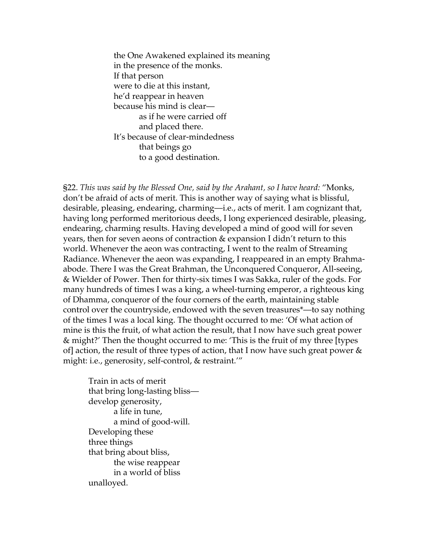the One Awakened explained its meaning in the presence of the monks. If that person were to die at this instant, he'd reappear in heaven because his mind is clear as if he were carried off and placed there. It's because of clear-mindedness that beings go to a good destination.

§22. *This was said by the Blessed One, said by the Arahant, so I have heard:* "Monks, don't be afraid of acts of merit. This is another way of saying what is blissful, desirable, pleasing, endearing, charming—i.e., acts of merit. I am cognizant that, having long performed meritorious deeds, I long experienced desirable, pleasing, endearing, charming results. Having developed a mind of good will for seven years, then for seven aeons of contraction & expansion I didn't return to this world. Whenever the aeon was contracting, I went to the realm of Streaming Radiance. Whenever the aeon was expanding, I reappeared in an empty Brahmaabode. There I was the Great Brahman, the Unconquered Conqueror, All-seeing, & Wielder of Power. Then for thirty-six times I was Sakka, ruler of the gods. For many hundreds of times I was a king, a wheel-turning emperor, a righteous king of Dhamma, conqueror of the four corners of the earth, maintaining stable control over the countryside, endowed with the seven treasures\*—to say nothing of the times I was a local king. The thought occurred to me: 'Of what action of mine is this the fruit, of what action the result, that I now have such great power & might?' Then the thought occurred to me: 'This is the fruit of my three [types of] action, the result of three types of action, that I now have such great power  $\&$ might: i.e., generosity, self-control, & restraint.'"

Train in acts of merit that bring long-lasting bliss develop generosity, a life in tune, a mind of good-will. Developing these three things that bring about bliss, the wise reappear in a world of bliss unalloyed.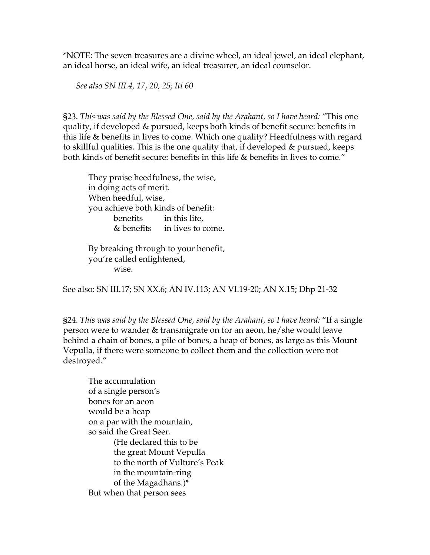\*NOTE: The seven treasures are a divine wheel, an ideal jewel, an ideal elephant, an ideal horse, an ideal wife, an ideal treasurer, an ideal counselor.

*See also SN III.4, 17, 20, 25; Iti 60* 

§23. *This was said by the Blessed One, said by the Arahant, so I have heard:* "This one quality, if developed & pursued, keeps both kinds of benefit secure: benefits in this life & benefits in lives to come. Which one quality? Heedfulness with regard to skillful qualities. This is the one quality that, if developed & pursued, keeps both kinds of benefit secure: benefits in this life & benefits in lives to come."

They praise heedfulness, the wise, in doing acts of merit. When heedful, wise, you achieve both kinds of benefit: benefits in this life, & benefits in lives to come.

By breaking through to your benefit, you're called enlightened, wise.

See also: SN III.17; SN XX.6; AN IV.113; AN VI.19-20; AN X.15; Dhp 21-32

§24. *This was said by the Blessed One, said by the Arahant, so I have heard:* "If a single person were to wander & transmigrate on for an aeon, he/she would leave behind a chain of bones, a pile of bones, a heap of bones, as large as this Mount Vepulla, if there were someone to collect them and the collection were not destroyed."

The accumulation of a single person's bones for an aeon would be a heap on a par with the mountain, so said the Great Seer. (He declared this to be the great Mount Vepulla to the north of Vulture's Peak in the mountain-ring of the Magadhans.)\* But when that person sees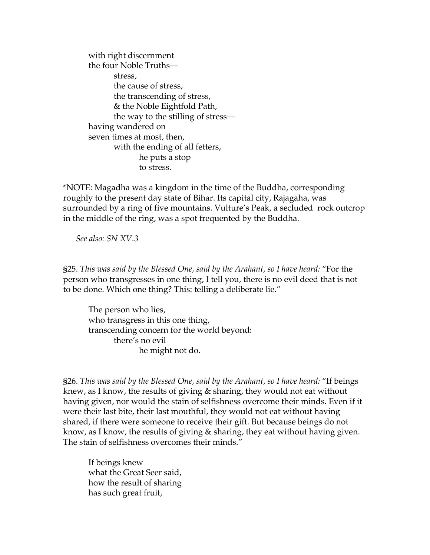with right discernment the four Noble Truths stress, the cause of stress, the transcending of stress, & the Noble Eightfold Path, the way to the stilling of stress having wandered on seven times at most, then, with the ending of all fetters, he puts a stop to stress.

\*NOTE: Magadha was a kingdom in the time of the Buddha, corresponding roughly to the present day state of Bihar. Its capital city, Rajagaha, was surrounded by a ring of five mountains. Vulture's Peak, a secluded rock outcrop in the middle of the ring, was a spot frequented by the Buddha.

*See also: SN XV.3* 

§25. *This was said by the Blessed One, said by the Arahant, so I have heard:* "For the person who transgresses in one thing, I tell you, there is no evil deed that is not to be done. Which one thing? This: telling a deliberate lie."

The person who lies, who transgress in this one thing, transcending concern for the world beyond: there's no evil he might not do.

§26. *This was said by the Blessed One, said by the Arahant, so I have heard:* "If beings knew, as I know, the results of giving & sharing, they would not eat without having given, nor would the stain of selfishness overcome their minds. Even if it were their last bite, their last mouthful, they would not eat without having shared, if there were someone to receive their gift. But because beings do not know, as I know, the results of giving & sharing, they eat without having given. The stain of selfishness overcomes their minds."

If beings knew what the Great Seer said, how the result of sharing has such great fruit,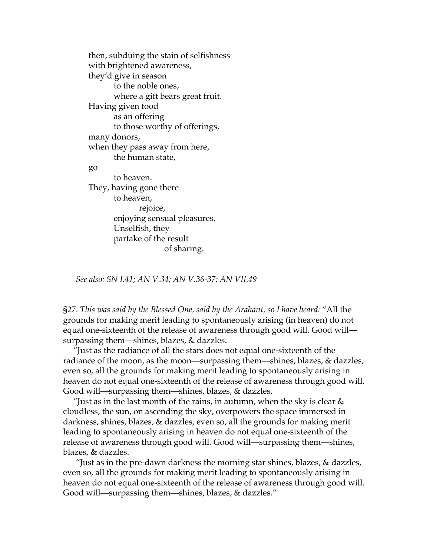then, subduing the stain of selfishness with brightened awareness, they'd give in season to the noble ones, where a gift bears great fruit. Having given food as an offering to those worthy of offerings, many donors, when they pass away from here, the human state, go to heaven. They, having gone there to heaven, rejoice, enjoying sensual pleasures. Unselfish, they partake of the result of sharing.

*See also: SN I.41; AN V.34; AN V.36-37; AN VII.49* 

§27. *This was said by the Blessed One, said by the Arahant, so I have heard:* "All the grounds for making merit leading to spontaneously arising (in heaven) do not equal one-sixteenth of the release of awareness through good will. Good will surpassing them—shines, blazes, & dazzles.

"Just as the radiance of all the stars does not equal one-sixteenth of the radiance of the moon, as the moon—surpassing them—shines, blazes, & dazzles, even so, all the grounds for making merit leading to spontaneously arising in heaven do not equal one-sixteenth of the release of awareness through good will. Good will—surpassing them—shines, blazes, & dazzles.

"Just as in the last month of the rains, in autumn, when the sky is clear  $\&$ cloudless, the sun, on ascending the sky, overpowers the space immersed in darkness, shines, blazes, & dazzles, even so, all the grounds for making merit leading to spontaneously arising in heaven do not equal one-sixteenth of the release of awareness through good will. Good will—surpassing them—shines, blazes, & dazzles.

"Just as in the pre-dawn darkness the morning star shines, blazes,  $\&$  dazzles, even so, all the grounds for making merit leading to spontaneously arising in heaven do not equal one-sixteenth of the release of awareness through good will. Good will—surpassing them—shines, blazes, & dazzles."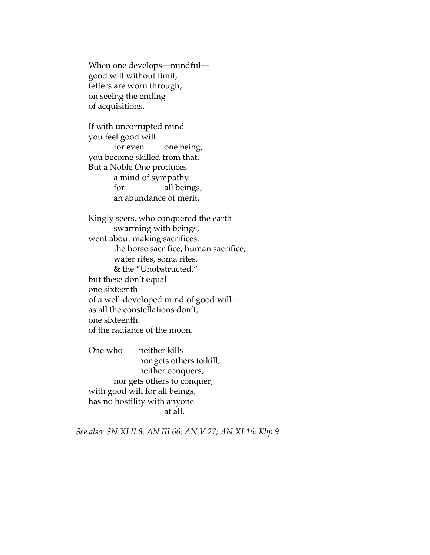When one develops—mindful good will without limit, fetters are worn through, on seeing the ending of acquisitions.

If with uncorrupted mind you feel good will for even one being, you become skilled from that. But a Noble One produces a mind of sympathy for all beings, an abundance of merit.

Kingly seers, who conquered the earth swarming with beings, went about making sacrifices: the horse sacrifice, human sacrifice, water rites, soma rites, & the "Unobstructed," but these don't equal one sixteenth of a well-developed mind of good will as all the constellations don't, one sixteenth of the radiance of the moon.

One who neither kills nor gets others to kill, neither conquers, nor gets others to conquer, with good will for all beings, has no hostility with anyone at all.

*See also: SN XLII.8; AN III.66; AN V.27; AN XI.16; Khp 9*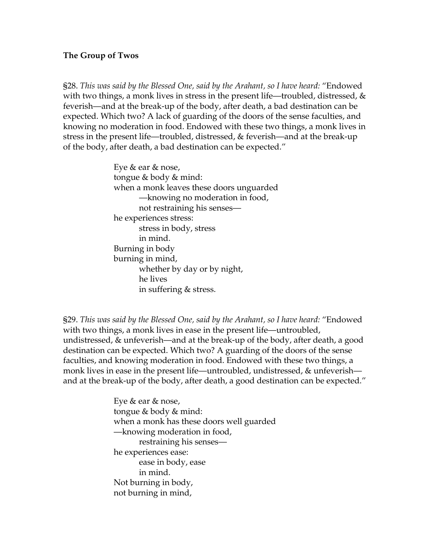#### **The Group of Twos**

§28. *This was said by the Blessed One, said by the Arahant, so I have heard:* "Endowed with two things, a monk lives in stress in the present life—troubled, distressed,  $\&$ feverish—and at the break-up of the body, after death, a bad destination can be expected. Which two? A lack of guarding of the doors of the sense faculties, and knowing no moderation in food. Endowed with these two things, a monk lives in stress in the present life—troubled, distressed, & feverish—and at the break-up of the body, after death, a bad destination can be expected."

> Eye & ear & nose, tongue & body & mind: when a monk leaves these doors unguarded —knowing no moderation in food, not restraining his senses he experiences stress: stress in body, stress in mind. Burning in body burning in mind, whether by day or by night, he lives in suffering & stress.

§29. *This was said by the Blessed One, said by the Arahant, so I have heard:* "Endowed with two things, a monk lives in ease in the present life—untroubled, undistressed, & unfeverish—and at the break-up of the body, after death, a good destination can be expected. Which two? A guarding of the doors of the sense faculties, and knowing moderation in food. Endowed with these two things, a monk lives in ease in the present life—untroubled, undistressed, & unfeverish and at the break-up of the body, after death, a good destination can be expected."

> Eye & ear & nose, tongue & body & mind: when a monk has these doors well guarded —knowing moderation in food, restraining his senses he experiences ease: ease in body, ease in mind. Not burning in body, not burning in mind,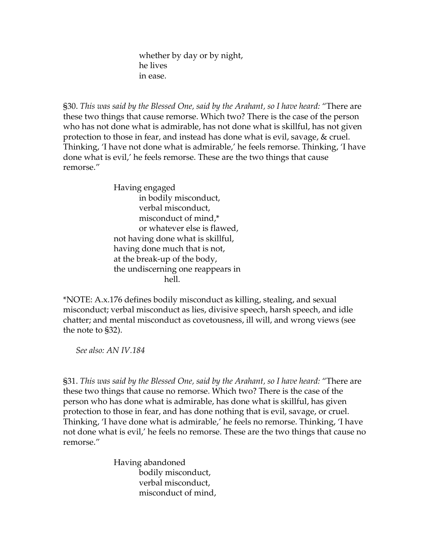whether by day or by night, he lives in ease.

§30. *This was said by the Blessed One, said by the Arahant, so I have heard:* "There are these two things that cause remorse. Which two? There is the case of the person who has not done what is admirable, has not done what is skillful, has not given protection to those in fear, and instead has done what is evil, savage, & cruel. Thinking, 'I have not done what is admirable,' he feels remorse. Thinking, 'I have done what is evil,' he feels remorse. These are the two things that cause remorse."

> Having engaged in bodily misconduct, verbal misconduct, misconduct of mind,\* or whatever else is flawed, not having done what is skillful, having done much that is not, at the break-up of the body, the undiscerning one reappears in hell.

\*NOTE: A.x.176 defines bodily misconduct as killing, stealing, and sexual misconduct; verbal misconduct as lies, divisive speech, harsh speech, and idle chatter; and mental misconduct as covetousness, ill will, and wrong views (see the note to §32).

*See also: AN IV.184* 

§31. *This was said by the Blessed One, said by the Arahant, so I have heard:* "There are these two things that cause no remorse. Which two? There is the case of the person who has done what is admirable, has done what is skillful, has given protection to those in fear, and has done nothing that is evil, savage, or cruel. Thinking, 'I have done what is admirable,' he feels no remorse. Thinking, 'I have not done what is evil,' he feels no remorse. These are the two things that cause no remorse."

> Having abandoned bodily misconduct, verbal misconduct, misconduct of mind,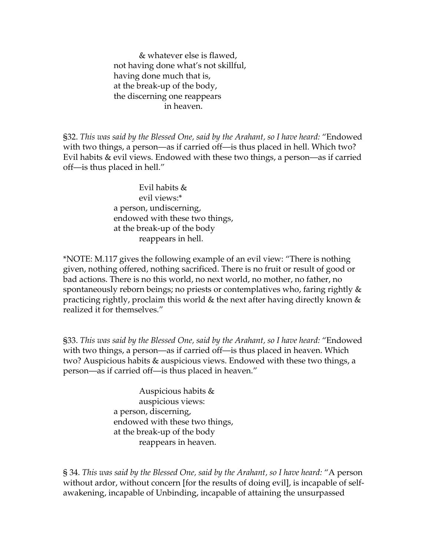& whatever else is flawed, not having done what's not skillful, having done much that is, at the break-up of the body, the discerning one reappears in heaven.

§32. *This was said by the Blessed One, said by the Arahant, so I have heard:* "Endowed with two things, a person—as if carried off—is thus placed in hell. Which two? Evil habits & evil views. Endowed with these two things, a person—as if carried off—is thus placed in hell."

> Evil habits & evil views:\* a person, undiscerning, endowed with these two things, at the break-up of the body reappears in hell.

\*NOTE: M.117 gives the following example of an evil view: "There is nothing given, nothing offered, nothing sacrificed. There is no fruit or result of good or bad actions. There is no this world, no next world, no mother, no father, no spontaneously reborn beings; no priests or contemplatives who, faring rightly & practicing rightly, proclaim this world & the next after having directly known & realized it for themselves."

§33. *This was said by the Blessed One, said by the Arahant, so I have heard:* "Endowed with two things, a person—as if carried off—is thus placed in heaven. Which two? Auspicious habits & auspicious views. Endowed with these two things, a person—as if carried off—is thus placed in heaven."

> Auspicious habits & auspicious views: a person, discerning, endowed with these two things, at the break-up of the body reappears in heaven.

§ 34. *This was said by the Blessed One, said by the Arahant, so I have heard:* "A person without ardor, without concern [for the results of doing evil], is incapable of selfawakening, incapable of Unbinding, incapable of attaining the unsurpassed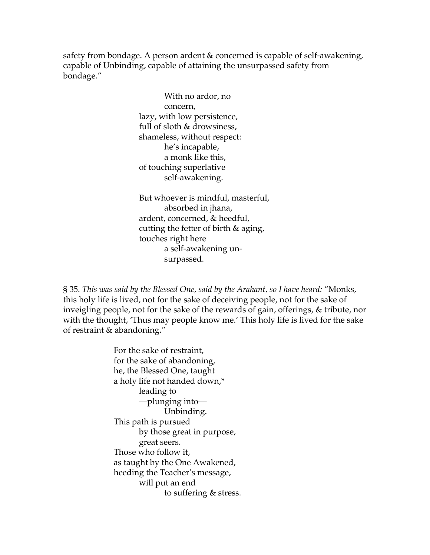safety from bondage. A person ardent & concerned is capable of self-awakening, capable of Unbinding, capable of attaining the unsurpassed safety from bondage."

> With no ardor, no concern, lazy, with low persistence, full of sloth & drowsiness, shameless, without respect: he's incapable, a monk like this, of touching superlative self-awakening.

But whoever is mindful, masterful, absorbed in jhana, ardent, concerned, & heedful, cutting the fetter of birth & aging, touches right here a self-awakening un surpassed.

§ 35. *This was said by the Blessed One, said by the Arahant, so I have heard:* "Monks, this holy life is lived, not for the sake of deceiving people, not for the sake of inveigling people, not for the sake of the rewards of gain, offerings, & tribute, nor with the thought, 'Thus may people know me.' This holy life is lived for the sake of restraint & abandoning."

> For the sake of restraint, for the sake of abandoning, he, the Blessed One, taught a holy life not handed down,\* leading to —plunging into— Unbinding. This path is pursued by those great in purpose, great seers. Those who follow it, as taught by the One Awakened, heeding the Teacher's message, will put an end to suffering & stress.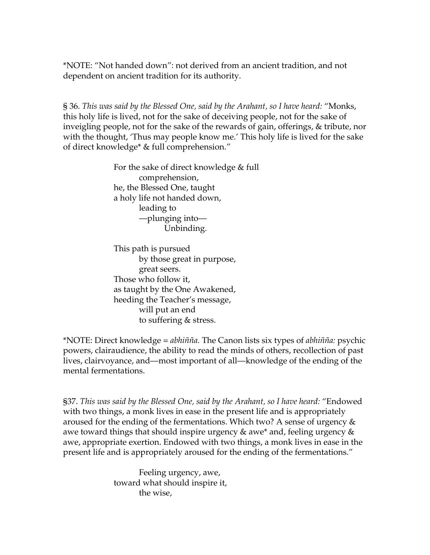\*NOTE: "Not handed down": not derived from an ancient tradition, and not dependent on ancient tradition for its authority.

§ 36. *This was said by the Blessed One, said by the Arahant, so I have heard:* "Monks, this holy life is lived, not for the sake of deceiving people, not for the sake of inveigling people, not for the sake of the rewards of gain, offerings, & tribute, nor with the thought, 'Thus may people know me.' This holy life is lived for the sake of direct knowledge\* & full comprehension."

> For the sake of direct knowledge & full comprehension, he, the Blessed One, taught a holy life not handed down, leading to —plunging into— Unbinding.

This path is pursued by those great in purpose, great seers. Those who follow it, as taught by the One Awakened, heeding the Teacher's message, will put an end to suffering & stress.

\*NOTE: Direct knowledge = *abhiñña.* The Canon lists six types of *abhiñña:* psychic powers, clairaudience, the ability to read the minds of others, recollection of past lives, clairvoyance, and—most important of all—knowledge of the ending of the mental fermentations.

§37. *This was said by the Blessed One, said by the Arahant, so I have heard:* "Endowed with two things, a monk lives in ease in the present life and is appropriately aroused for the ending of the fermentations. Which two? A sense of urgency  $\&$ awe toward things that should inspire urgency & awe\* and, feeling urgency & awe, appropriate exertion. Endowed with two things, a monk lives in ease in the present life and is appropriately aroused for the ending of the fermentations."

> Feeling urgency, awe, toward what should inspire it, the wise,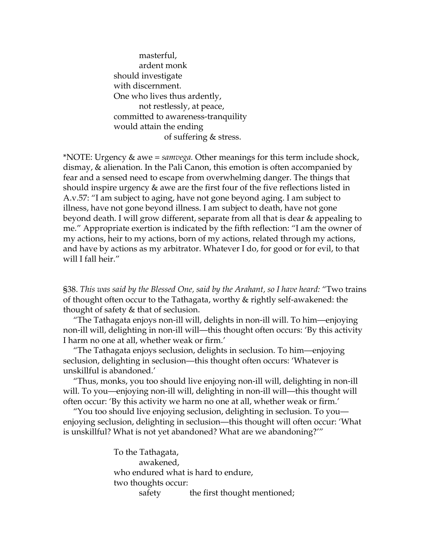masterful, ardent monk should investigate with discernment. One who lives thus ardently, not restlessly, at peace, committed to awareness-tranquility would attain the ending of suffering & stress.

\*NOTE: Urgency & awe = *samvega.* Other meanings for this term include shock, dismay, & alienation. In the Pali Canon, this emotion is often accompanied by fear and a sensed need to escape from overwhelming danger. The things that should inspire urgency & awe are the first four of the five reflections listed in A.v.57: "I am subject to aging, have not gone beyond aging. I am subject to illness, have not gone beyond illness. I am subject to death, have not gone beyond death. I will grow different, separate from all that is dear & appealing to me." Appropriate exertion is indicated by the fifth reflection: "I am the owner of my actions, heir to my actions, born of my actions, related through my actions, and have by actions as my arbitrator. Whatever I do, for good or for evil, to that will I fall heir."

§38. *This was said by the Blessed One, said by the Arahant, so I have heard:* "Two trains of thought often occur to the Tathagata, worthy & rightly self-awakened: the thought of safety & that of seclusion.

"The Tathagata enjoys non-ill will, delights in non-ill will. To him—enjoying non-ill will, delighting in non-ill will—this thought often occurs: 'By this activity I harm no one at all, whether weak or firm.'

"The Tathagata enjoys seclusion, delights in seclusion. To him—enjoying seclusion, delighting in seclusion—this thought often occurs: 'Whatever is unskillful is abandoned.'

"Thus, monks, you too should live enjoying non-ill will, delighting in non-ill will. To you—enjoying non-ill will, delighting in non-ill will—this thought will often occur: 'By this activity we harm no one at all, whether weak or firm.'

"You too should live enjoying seclusion, delighting in seclusion. To you enjoying seclusion, delighting in seclusion—this thought will often occur: 'What is unskillful? What is not yet abandoned? What are we abandoning?'"

> To the Tathagata, awakened, who endured what is hard to endure, two thoughts occur: safety the first thought mentioned;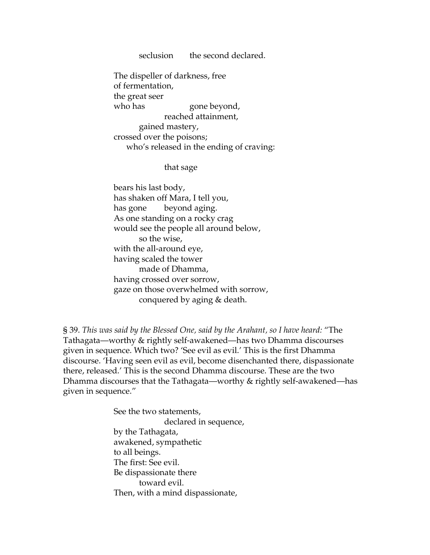seclusion the second declared.

The dispeller of darkness, free of fermentation, the great seer who has gone beyond, reached attainment, gained mastery, crossed over the poisons; who's released in the ending of craving:

that sage

bears his last body, has shaken off Mara, I tell you, has gone beyond aging. As one standing on a rocky crag would see the people all around below, so the wise, with the all-around eye, having scaled the tower made of Dhamma, having crossed over sorrow, gaze on those overwhelmed with sorrow, conquered by aging & death.

§ 39. *This was said by the Blessed One, said by the Arahant, so I have heard:* "The Tathagata—worthy & rightly self-awakened—has two Dhamma discourses given in sequence. Which two? 'See evil as evil.' This is the first Dhamma discourse. 'Having seen evil as evil, become disenchanted there, dispassionate there, released.' This is the second Dhamma discourse. These are the two Dhamma discourses that the Tathagata—worthy & rightly self-awakened—has given in sequence."

> See the two statements, declared in sequence, by the Tathagata, awakened, sympathetic to all beings. The first: See evil. Be dispassionate there toward evil. Then, with a mind dispassionate,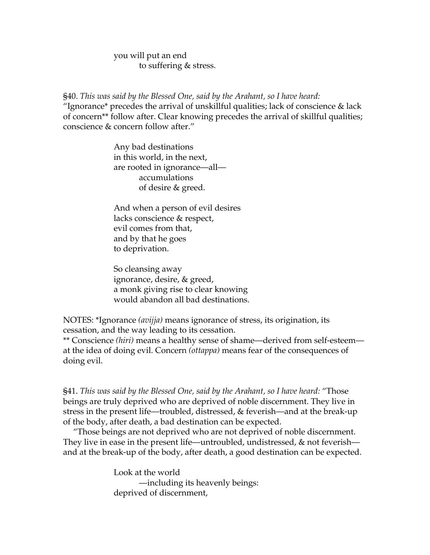you will put an end to suffering & stress.

§40. *This was said by the Blessed One, said by the Arahant, so I have heard:*  "Ignorance\* precedes the arrival of unskillful qualities; lack of conscience  $\&$  lack of concern\*\* follow after. Clear knowing precedes the arrival of skillful qualities; conscience & concern follow after."

> Any bad destinations in this world, in the next, are rooted in ignorance—all accumulations of desire & greed.

And when a person of evil desires lacks conscience & respect, evil comes from that, and by that he goes to deprivation.

So cleansing away ignorance, desire, & greed, a monk giving rise to clear knowing would abandon all bad destinations.

NOTES: \*Ignorance *(avijja)* means ignorance of stress, its origination, its cessation, and the way leading to its cessation.

\*\* Conscience *(hiri)* means a healthy sense of shame—derived from self-esteem at the idea of doing evil. Concern *(ottappa)* means fear of the consequences of doing evil.

§41. *This was said by the Blessed One, said by the Arahant, so I have heard:* "Those beings are truly deprived who are deprived of noble discernment. They live in stress in the present life—troubled, distressed, & feverish—and at the break-up of the body, after death, a bad destination can be expected.

"Those beings are not deprived who are not deprived of noble discernment. They live in ease in the present life—untroubled, undistressed, & not feverish and at the break-up of the body, after death, a good destination can be expected.

> Look at the world —including its heavenly beings: deprived of discernment,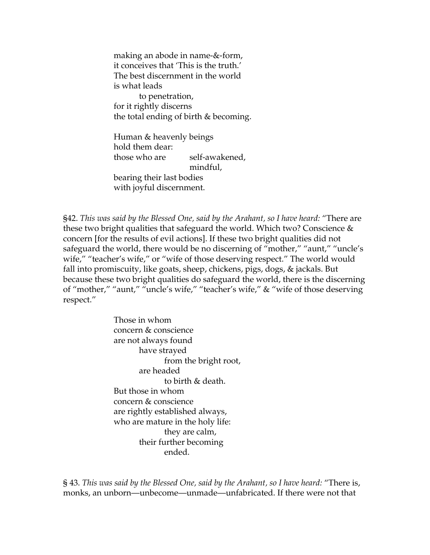making an abode in name-&-form, it conceives that 'This is the truth.' The best discernment in the world is what leads to penetration, for it rightly discerns the total ending of birth & becoming.

Human & heavenly beings hold them dear: those who are self-awakened, mindful,

bearing their last bodies with joyful discernment.

§42. *This was said by the Blessed One, said by the Arahant, so I have heard:* "There are these two bright qualities that safeguard the world. Which two? Conscience & concern [for the results of evil actions]. If these two bright qualities did not safeguard the world, there would be no discerning of "mother," "aunt," "uncle's wife," "teacher's wife," or "wife of those deserving respect." The world would fall into promiscuity, like goats, sheep, chickens, pigs, dogs, & jackals. But because these two bright qualities do safeguard the world, there is the discerning of "mother," "aunt," "uncle's wife," "teacher's wife," & "wife of those deserving respect."

> Those in whom concern & conscience are not always found have strayed from the bright root, are headed to birth & death. But those in whom concern & conscience are rightly established always, who are mature in the holy life: they are calm, their further becoming ended.

§ 43. *This was said by the Blessed One, said by the Arahant, so I have heard:* "There is, monks, an unborn—unbecome—unmade—unfabricated. If there were not that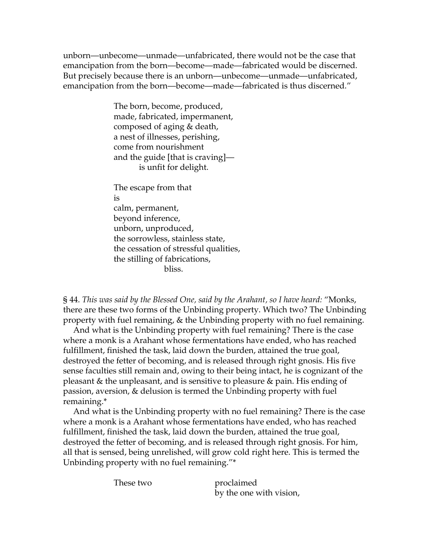unborn—unbecome—unmade—unfabricated, there would not be the case that emancipation from the born—become—made—fabricated would be discerned. But precisely because there is an unborn—unbecome—unmade—unfabricated, emancipation from the born—become—made—fabricated is thus discerned."

> The born, become, produced, made, fabricated, impermanent, composed of aging & death, a nest of illnesses, perishing, come from nourishment and the guide [that is craving] is unfit for delight.

The escape from that is calm, permanent, beyond inference, unborn, unproduced, the sorrowless, stainless state, the cessation of stressful qualities, the stilling of fabrications, bliss.

§ 44. *This was said by the Blessed One, said by the Arahant, so I have heard:* "Monks, there are these two forms of the Unbinding property. Which two? The Unbinding property with fuel remaining, & the Unbinding property with no fuel remaining.

And what is the Unbinding property with fuel remaining? There is the case where a monk is a Arahant whose fermentations have ended, who has reached fulfillment, finished the task, laid down the burden, attained the true goal, destroyed the fetter of becoming, and is released through right gnosis. His five sense faculties still remain and, owing to their being intact, he is cognizant of the pleasant & the unpleasant, and is sensitive to pleasure & pain. His ending of passion, aversion, & delusion is termed the Unbinding property with fuel remaining.\*

And what is the Unbinding property with no fuel remaining? There is the case where a monk is a Arahant whose fermentations have ended, who has reached fulfillment, finished the task, laid down the burden, attained the true goal, destroyed the fetter of becoming, and is released through right gnosis. For him, all that is sensed, being unrelished, will grow cold right here. This is termed the Unbinding property with no fuel remaining."\*

These two proclaimed by the one with vision,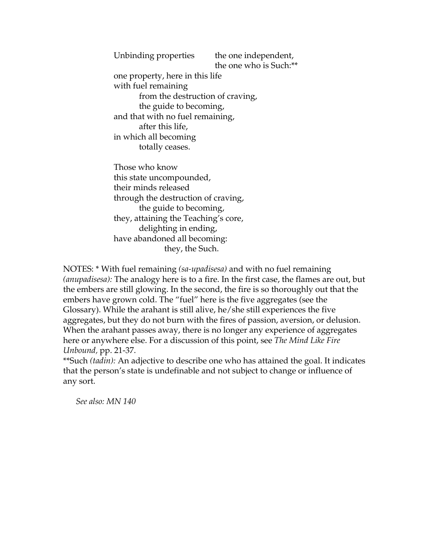Unbinding properties the one independent, the one who is Such:\*\* one property, here in this life with fuel remaining from the destruction of craving, the guide to becoming, and that with no fuel remaining, after this life, in which all becoming totally ceases.

Those who know this state uncompounded, their minds released through the destruction of craving, the guide to becoming, they, attaining the Teaching's core, delighting in ending, have abandoned all becoming: they, the Such.

NOTES: \* With fuel remaining *(sa-upadisesa)* and with no fuel remaining *(anupadisesa):* The analogy here is to a fire. In the first case, the flames are out, but the embers are still glowing. In the second, the fire is so thoroughly out that the embers have grown cold. The "fuel" here is the five aggregates (see the Glossary). While the arahant is still alive, he/she still experiences the five aggregates, but they do not burn with the fires of passion, aversion, or delusion. When the arahant passes away, there is no longer any experience of aggregates here or anywhere else. For a discussion of this point, see *The Mind Like Fire Unbound,* pp. 21-37.

\*\*Such *(tadin):* An adjective to describe one who has attained the goal. It indicates that the person's state is undefinable and not subject to change or influence of any sort.

*See also: MN 140*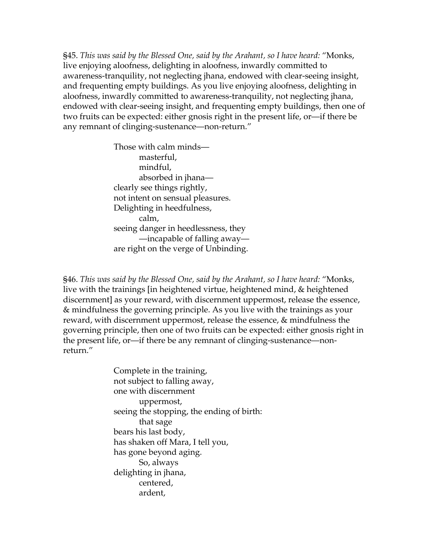§45. *This was said by the Blessed One, said by the Arahant, so I have heard:* "Monks, live enjoying aloofness, delighting in aloofness, inwardly committed to awareness-tranquility, not neglecting jhana, endowed with clear-seeing insight, and frequenting empty buildings. As you live enjoying aloofness, delighting in aloofness, inwardly committed to awareness-tranquility, not neglecting jhana, endowed with clear-seeing insight, and frequenting empty buildings, then one of two fruits can be expected: either gnosis right in the present life, or—if there be any remnant of clinging-sustenance—non-return."

> Those with calm minds masterful, mindful, absorbed in jhana clearly see things rightly, not intent on sensual pleasures. Delighting in heedfulness, calm, seeing danger in heedlessness, they —incapable of falling away are right on the verge of Unbinding.

§46. *This was said by the Blessed One, said by the Arahant, so I have heard:* "Monks, live with the trainings [in heightened virtue, heightened mind, & heightened discernment] as your reward, with discernment uppermost, release the essence, & mindfulness the governing principle. As you live with the trainings as your reward, with discernment uppermost, release the essence, & mindfulness the governing principle, then one of two fruits can be expected: either gnosis right in the present life, or—if there be any remnant of clinging-sustenance—nonreturn."

> Complete in the training, not subject to falling away, one with discernment uppermost, seeing the stopping, the ending of birth: that sage bears his last body, has shaken off Mara, I tell you, has gone beyond aging. So, always delighting in jhana, centered, ardent,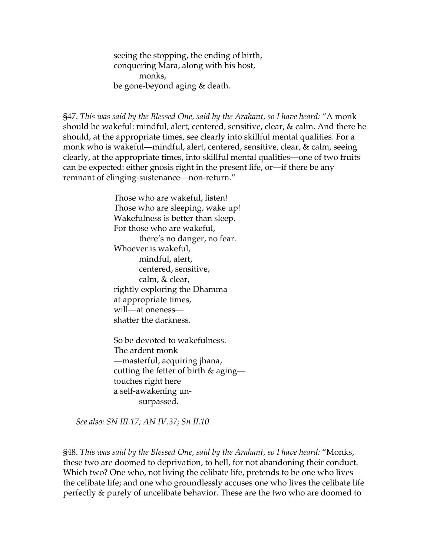seeing the stopping, the ending of birth, conquering Mara, along with his host, monks, be gone-beyond aging & death.

§47. *This was said by the Blessed One, said by the Arahant, so I have heard:* "A monk should be wakeful: mindful, alert, centered, sensitive, clear, & calm. And there he should, at the appropriate times, see clearly into skillful mental qualities. For a monk who is wakeful—mindful, alert, centered, sensitive, clear, & calm, seeing clearly, at the appropriate times, into skillful mental qualities—one of two fruits can be expected: either gnosis right in the present life, or—if there be any remnant of clinging-sustenance—non-return."

> Those who are wakeful, listen! Those who are sleeping, wake up! Wakefulness is better than sleep. For those who are wakeful, there's no danger, no fear. Whoever is wakeful, mindful, alert, centered, sensitive, calm, & clear, rightly exploring the Dhamma at appropriate times, will—at oneness shatter the darkness.

So be devoted to wakefulness. The ardent monk —masterful, acquiring jhana, cutting the fetter of birth & aging touches right here a self-awakening un surpassed.

*See also: SN III.17; AN IV.37; Sn II.10* 

§48. *This was said by the Blessed One, said by the Arahant, so I have heard:* "Monks, these two are doomed to deprivation, to hell, for not abandoning their conduct. Which two? One who, not living the celibate life, pretends to be one who lives the celibate life; and one who groundlessly accuses one who lives the celibate life perfectly & purely of uncelibate behavior. These are the two who are doomed to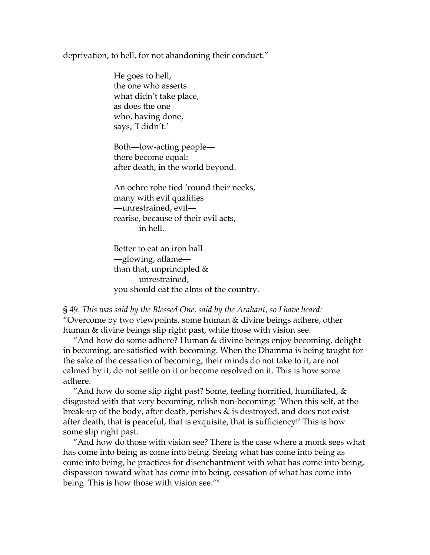#### deprivation, to hell, for not abandoning their conduct."

He goes to hell, the one who asserts what didn't take place, as does the one who, having done, says, 'I didn't.'

Both—low-acting people there become equal: after death, in the world beyond.

An ochre robe tied 'round their necks, many with evil qualities —unrestrained, evil rearise, because of their evil acts, in hell.

Better to eat an iron ball —glowing, aflame than that, unprincipled & unrestrained, you should eat the alms of the country.

§ 49. *This was said by the Blessed One, said by the Arahant, so I have heard:*  "Overcome by two viewpoints, some human & divine beings adhere, other human & divine beings slip right past, while those with vision see.

"And how do some adhere? Human & divine beings enjoy becoming, delight in becoming, are satisfied with becoming. When the Dhamma is being taught for the sake of the cessation of becoming, their minds do not take to it, are not calmed by it, do not settle on it or become resolved on it. This is how some adhere.

"And how do some slip right past? Some, feeling horrified, humiliated,  $\&$ disgusted with that very becoming, relish non-becoming: 'When this self, at the break-up of the body, after death, perishes & is destroyed, and does not exist after death, that is peaceful, that is exquisite, that is sufficiency!' This is how some slip right past.

"And how do those with vision see? There is the case where a monk sees what has come into being as come into being. Seeing what has come into being as come into being, he practices for disenchantment with what has come into being, dispassion toward what has come into being, cessation of what has come into being. This is how those with vision see."\*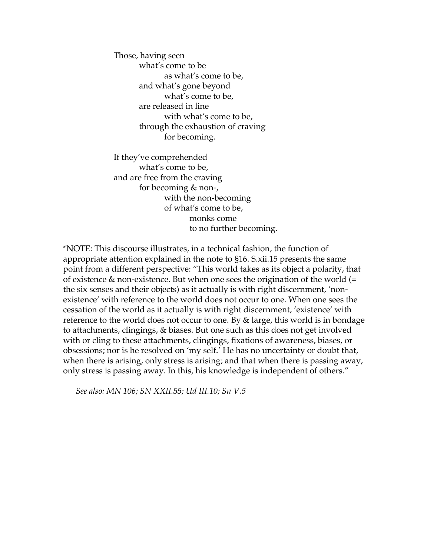Those, having seen what's come to be as what's come to be, and what's gone beyond what's come to be, are released in line with what's come to be, through the exhaustion of craving for becoming.

If they've comprehended what's come to be, and are free from the craving for becoming & non-, with the non-becoming of what's come to be, monks come to no further becoming.

\*NOTE: This discourse illustrates, in a technical fashion, the function of appropriate attention explained in the note to §16. S.xii.15 presents the same point from a different perspective: "This world takes as its object a polarity, that of existence & non-existence. But when one sees the origination of the world (= the six senses and their objects) as it actually is with right discernment, 'nonexistence' with reference to the world does not occur to one. When one sees the cessation of the world as it actually is with right discernment, 'existence' with reference to the world does not occur to one. By & large, this world is in bondage to attachments, clingings, & biases. But one such as this does not get involved with or cling to these attachments, clingings, fixations of awareness, biases, or obsessions; nor is he resolved on 'my self.' He has no uncertainty or doubt that, when there is arising, only stress is arising; and that when there is passing away, only stress is passing away. In this, his knowledge is independent of others."

*See also: MN 106; SN XXII.55; Ud III.10; Sn V.5*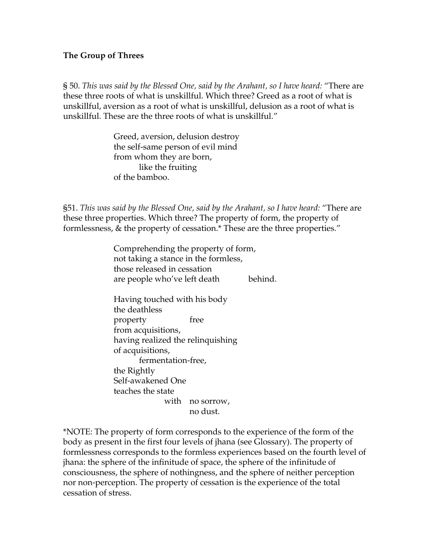#### **The Group of Threes**

§ 50. *This was said by the Blessed One, said by the Arahant, so I have heard:* "There are these three roots of what is unskillful. Which three? Greed as a root of what is unskillful, aversion as a root of what is unskillful, delusion as a root of what is unskillful. These are the three roots of what is unskillful."

> Greed, aversion, delusion destroy the self-same person of evil mind from whom they are born, like the fruiting of the bamboo.

§51. *This was said by the Blessed One, said by the Arahant, so I have heard:* "There are these three properties. Which three? The property of form, the property of formlessness, & the property of cessation.\* These are the three properties."

> Comprehending the property of form, not taking a stance in the formless, those released in cessation are people who've left death behind.

Having touched with his body the deathless property free from acquisitions, having realized the relinquishing of acquisitions, fermentation-free, the Rightly Self-awakened One teaches the state with no sorrow, no dust.

\*NOTE: The property of form corresponds to the experience of the form of the body as present in the first four levels of jhana (see Glossary). The property of formlessness corresponds to the formless experiences based on the fourth level of jhana: the sphere of the infinitude of space, the sphere of the infinitude of consciousness, the sphere of nothingness, and the sphere of neither perception nor non-perception. The property of cessation is the experience of the total cessation of stress.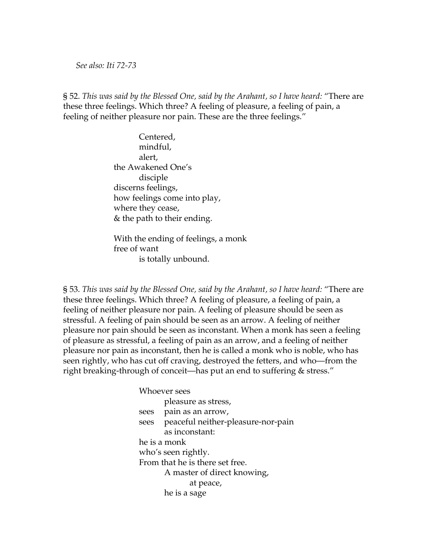#### *See also: Iti 72-73*

§ 52. *This was said by the Blessed One, said by the Arahant, so I have heard:* "There are these three feelings. Which three? A feeling of pleasure, a feeling of pain, a feeling of neither pleasure nor pain. These are the three feelings."

> Centered, mindful, alert, the Awakened One's disciple discerns feelings, how feelings come into play, where they cease, & the path to their ending.

With the ending of feelings, a monk free of want is totally unbound.

§ 53. *This was said by the Blessed One, said by the Arahant, so I have heard:* "There are these three feelings. Which three? A feeling of pleasure, a feeling of pain, a feeling of neither pleasure nor pain. A feeling of pleasure should be seen as stressful. A feeling of pain should be seen as an arrow. A feeling of neither pleasure nor pain should be seen as inconstant. When a monk has seen a feeling of pleasure as stressful, a feeling of pain as an arrow, and a feeling of neither pleasure nor pain as inconstant, then he is called a monk who is noble, who has seen rightly, who has cut off craving, destroyed the fetters, and who—from the right breaking-through of conceit—has put an end to suffering & stress."

> Whoever sees pleasure as stress, sees pain as an arrow, sees peaceful neither-pleasure-nor-pain as inconstant: he is a monk who's seen rightly. From that he is there set free. A master of direct knowing, at peace, he is a sage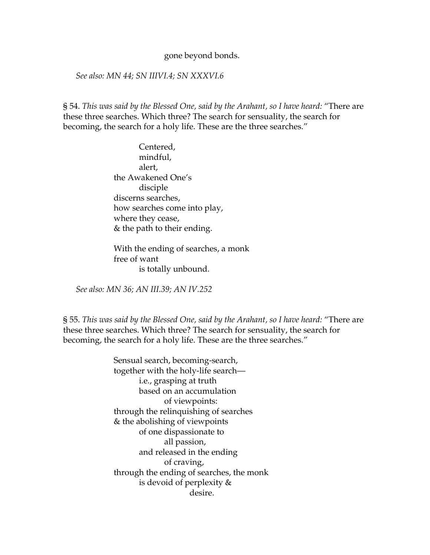#### gone beyond bonds.

### *See also: MN 44; SN IIIVI.4; SN XXXVI.6*

§ 54. *This was said by the Blessed One, said by the Arahant, so I have heard:* "There are these three searches. Which three? The search for sensuality, the search for becoming, the search for a holy life. These are the three searches."

> Centered, mindful, alert, the Awakened One's disciple discerns searches, how searches come into play, where they cease, & the path to their ending.

With the ending of searches, a monk free of want is totally unbound.

*See also: MN 36; AN III.39; AN IV.252* 

§ 55. *This was said by the Blessed One, said by the Arahant, so I have heard:* "There are these three searches. Which three? The search for sensuality, the search for becoming, the search for a holy life. These are the three searches."

> Sensual search, becoming-search, together with the holy-life search i.e., grasping at truth based on an accumulation of viewpoints: through the relinquishing of searches & the abolishing of viewpoints of one dispassionate to all passion, and released in the ending of craving, through the ending of searches, the monk is devoid of perplexity & desire.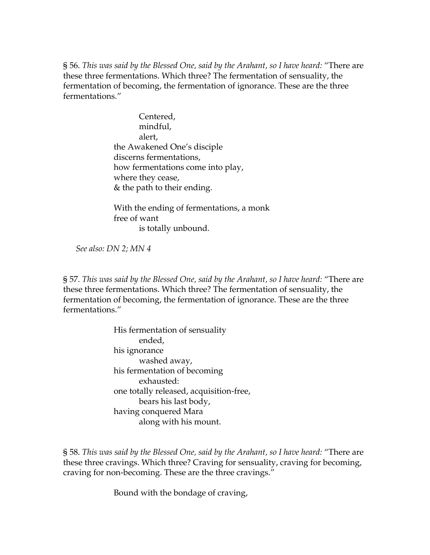§ 56. *This was said by the Blessed One, said by the Arahant, so I have heard:* "There are these three fermentations. Which three? The fermentation of sensuality, the fermentation of becoming, the fermentation of ignorance. These are the three fermentations."

> Centered, mindful, alert, the Awakened One's disciple discerns fermentations, how fermentations come into play, where they cease, & the path to their ending.

With the ending of fermentations, a monk free of want is totally unbound.

*See also: DN 2; MN 4* 

§ 57. *This was said by the Blessed One, said by the Arahant, so I have heard:* "There are these three fermentations. Which three? The fermentation of sensuality, the fermentation of becoming, the fermentation of ignorance. These are the three fermentations."

> His fermentation of sensuality ended, his ignorance washed away, his fermentation of becoming exhausted: one totally released, acquisition-free, bears his last body, having conquered Mara along with his mount.

§ 58. *This was said by the Blessed One, said by the Arahant, so I have heard:* "There are these three cravings. Which three? Craving for sensuality, craving for becoming, craving for non-becoming. These are the three cravings."

Bound with the bondage of craving,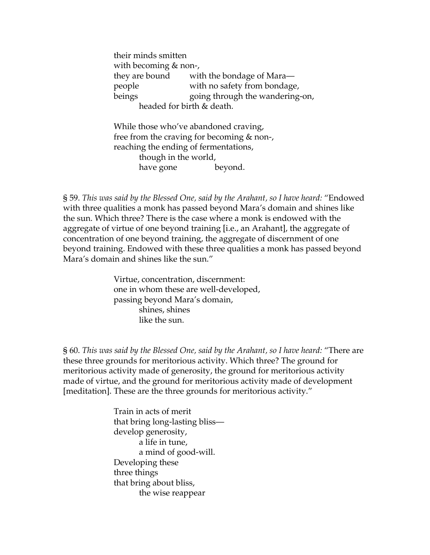their minds smitten with becoming & non-, they are bound with the bondage of Mara people with no safety from bondage, beings going through the wandering-on, headed for birth & death.

While those who've abandoned craving, free from the craving for becoming & non-, reaching the ending of fermentations, though in the world, have gone beyond.

§ 59. *This was said by the Blessed One, said by the Arahant, so I have heard:* "Endowed with three qualities a monk has passed beyond Mara's domain and shines like the sun. Which three? There is the case where a monk is endowed with the aggregate of virtue of one beyond training [i.e., an Arahant], the aggregate of concentration of one beyond training, the aggregate of discernment of one beyond training. Endowed with these three qualities a monk has passed beyond Mara's domain and shines like the sun."

> Virtue, concentration, discernment: one in whom these are well-developed, passing beyond Mara's domain, shines, shines like the sun.

§ 60. *This was said by the Blessed One, said by the Arahant, so I have heard:* "There are these three grounds for meritorious activity. Which three? The ground for meritorious activity made of generosity, the ground for meritorious activity made of virtue, and the ground for meritorious activity made of development [meditation]. These are the three grounds for meritorious activity."

> Train in acts of merit that bring long-lasting bliss develop generosity, a life in tune, a mind of good-will. Developing these three things that bring about bliss, the wise reappear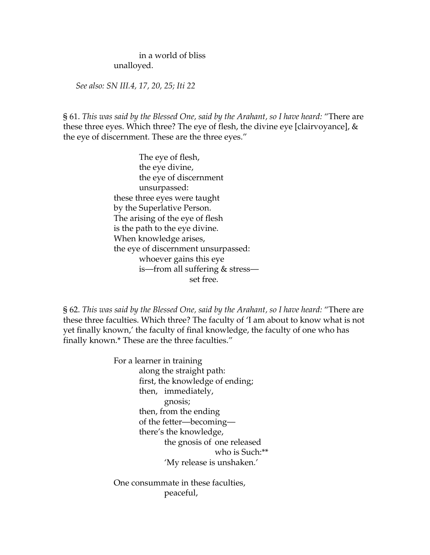in a world of bliss unalloyed.

*See also: SN III.4, 17, 20, 25; Iti 22* 

§ 61. *This was said by the Blessed One, said by the Arahant, so I have heard:* "There are these three eyes. Which three? The eye of flesh, the divine eye [clairvoyance], & the eye of discernment. These are the three eyes."

> The eye of flesh, the eye divine, the eye of discernment unsurpassed: these three eyes were taught by the Superlative Person. The arising of the eye of flesh is the path to the eye divine. When knowledge arises, the eye of discernment unsurpassed: whoever gains this eye is—from all suffering & stress set free.

§ 62. *This was said by the Blessed One, said by the Arahant, so I have heard:* "There are these three faculties. Which three? The faculty of 'I am about to know what is not yet finally known,' the faculty of final knowledge, the faculty of one who has finally known.\* These are the three faculties."

> For a learner in training along the straight path: first, the knowledge of ending; then, immediately, gnosis; then, from the ending of the fetter—becoming there's the knowledge, the gnosis of one released who is Such:\*\* 'My release is unshaken.'

One consummate in these faculties, peaceful,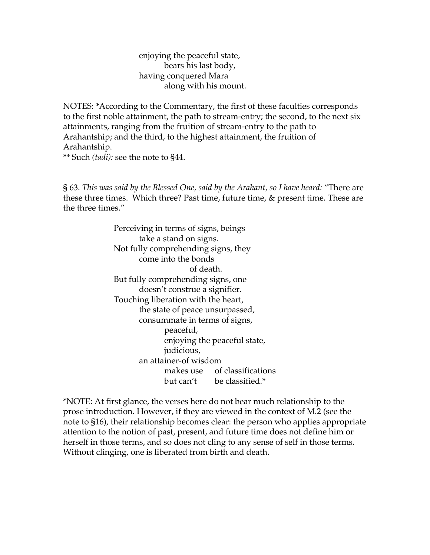enjoying the peaceful state, bears his last body, having conquered Mara along with his mount.

NOTES: \*According to the Commentary, the first of these faculties corresponds to the first noble attainment, the path to stream-entry; the second, to the next six attainments, ranging from the fruition of stream-entry to the path to Arahantship; and the third, to the highest attainment, the fruition of Arahantship. \*\* Such *(tadi):* see the note to §44.

§ 63. *This was said by the Blessed One, said by the Arahant, so I have heard:* "There are these three times. Which three? Past time, future time, & present time. These are the three times."

> Perceiving in terms of signs, beings take a stand on signs. Not fully comprehending signs, they come into the bonds of death. But fully comprehending signs, one doesn't construe a signifier. Touching liberation with the heart, the state of peace unsurpassed, consummate in terms of signs, peaceful, enjoying the peaceful state, judicious, an attainer-of wisdom makes use of classifications but can't be classified.\*

\*NOTE: At first glance, the verses here do not bear much relationship to the prose introduction. However, if they are viewed in the context of M.2 (see the note to §16), their relationship becomes clear: the person who applies appropriate attention to the notion of past, present, and future time does not define him or herself in those terms, and so does not cling to any sense of self in those terms. Without clinging, one is liberated from birth and death.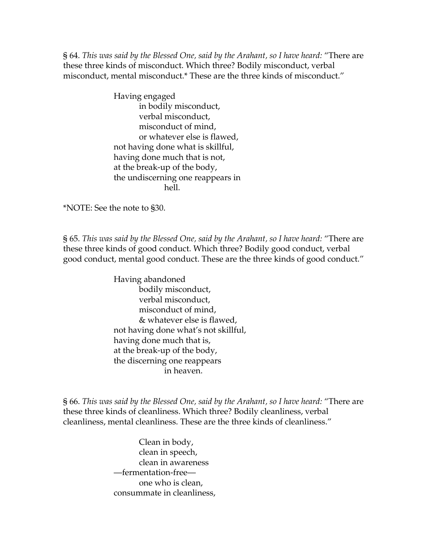§ 64. *This was said by the Blessed One, said by the Arahant, so I have heard:* "There are these three kinds of misconduct. Which three? Bodily misconduct, verbal misconduct, mental misconduct.\* These are the three kinds of misconduct."

> Having engaged in bodily misconduct, verbal misconduct, misconduct of mind, or whatever else is flawed, not having done what is skillful, having done much that is not, at the break-up of the body, the undiscerning one reappears in hell.

\*NOTE: See the note to §30.

§ 65. *This was said by the Blessed One, said by the Arahant, so I have heard:* "There are these three kinds of good conduct. Which three? Bodily good conduct, verbal good conduct, mental good conduct. These are the three kinds of good conduct."

> Having abandoned bodily misconduct, verbal misconduct, misconduct of mind, & whatever else is flawed, not having done what's not skillful, having done much that is, at the break-up of the body, the discerning one reappears in heaven.

§ 66. *This was said by the Blessed One, said by the Arahant, so I have heard:* "There are these three kinds of cleanliness. Which three? Bodily cleanliness, verbal cleanliness, mental cleanliness. These are the three kinds of cleanliness."

> Clean in body, clean in speech, clean in awareness —fermentation-free one who is clean, consummate in cleanliness,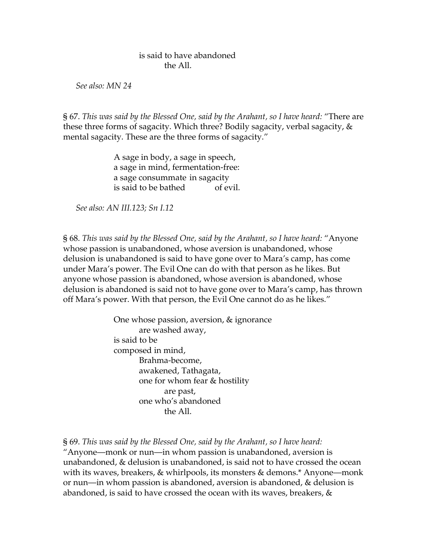## is said to have abandoned the All.

*See also: MN 24* 

§ 67. *This was said by the Blessed One, said by the Arahant, so I have heard:* "There are these three forms of sagacity. Which three? Bodily sagacity, verbal sagacity, & mental sagacity. These are the three forms of sagacity."

> A sage in body, a sage in speech, a sage in mind, fermentation-free: a sage consummate in sagacity is said to be bathed of evil.

*See also: AN III.123; Sn I.12* 

§ 68. *This was said by the Blessed One, said by the Arahant, so I have heard:* "Anyone whose passion is unabandoned, whose aversion is unabandoned, whose delusion is unabandoned is said to have gone over to Mara's camp, has come under Mara's power. The Evil One can do with that person as he likes. But anyone whose passion is abandoned, whose aversion is abandoned, whose delusion is abandoned is said not to have gone over to Mara's camp, has thrown off Mara's power. With that person, the Evil One cannot do as he likes."

> One whose passion, aversion, & ignorance are washed away, is said to be composed in mind, Brahma-become, awakened, Tathagata, one for whom fear & hostility are past, one who's abandoned the All.

§ 69. *This was said by the Blessed One, said by the Arahant, so I have heard:* 

"Anyone—monk or nun—in whom passion is unabandoned, aversion is unabandoned, & delusion is unabandoned, is said not to have crossed the ocean with its waves, breakers, & whirlpools, its monsters & demons.\* Anyone—monk or nun—in whom passion is abandoned, aversion is abandoned, & delusion is abandoned, is said to have crossed the ocean with its waves, breakers, &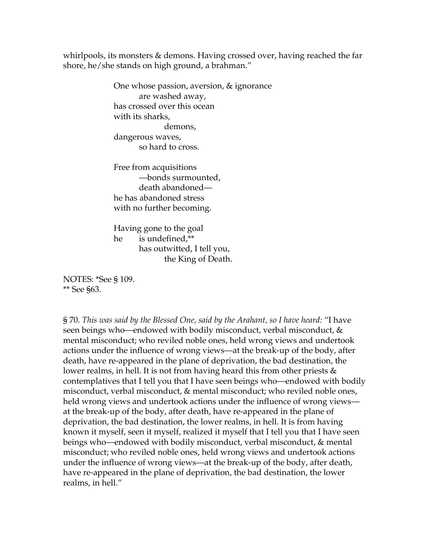whirlpools, its monsters & demons. Having crossed over, having reached the far shore, he/she stands on high ground, a brahman."

> One whose passion, aversion, & ignorance are washed away, has crossed over this ocean with its sharks, demons, dangerous waves, so hard to cross.

Free from acquisitions —bonds surmounted, death abandoned he has abandoned stress with no further becoming.

Having gone to the goal he is undefined,\*\* has outwitted, I tell you, the King of Death.

NOTES: \*See § 109. \*\* See §63.

§ 70. *This was said by the Blessed One, said by the Arahant, so I have heard:* "I have seen beings who—endowed with bodily misconduct, verbal misconduct, & mental misconduct; who reviled noble ones, held wrong views and undertook actions under the influence of wrong views—at the break-up of the body, after death, have re-appeared in the plane of deprivation, the bad destination, the lower realms, in hell. It is not from having heard this from other priests  $\&$ contemplatives that I tell you that I have seen beings who—endowed with bodily misconduct, verbal misconduct, & mental misconduct; who reviled noble ones, held wrong views and undertook actions under the influence of wrong views at the break-up of the body, after death, have re-appeared in the plane of deprivation, the bad destination, the lower realms, in hell. It is from having known it myself, seen it myself, realized it myself that I tell you that I have seen beings who—endowed with bodily misconduct, verbal misconduct, & mental misconduct; who reviled noble ones, held wrong views and undertook actions under the influence of wrong views—at the break-up of the body, after death, have re-appeared in the plane of deprivation, the bad destination, the lower realms, in hell."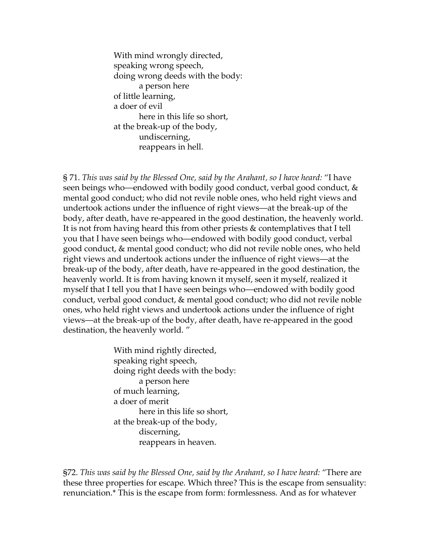With mind wrongly directed, speaking wrong speech, doing wrong deeds with the body: a person here of little learning, a doer of evil here in this life so short, at the break-up of the body, undiscerning, reappears in hell.

§ 71. *This was said by the Blessed One, said by the Arahant, so I have heard:* "I have seen beings who—endowed with bodily good conduct, verbal good conduct, & mental good conduct; who did not revile noble ones, who held right views and undertook actions under the influence of right views—at the break-up of the body, after death, have re-appeared in the good destination, the heavenly world. It is not from having heard this from other priests & contemplatives that I tell you that I have seen beings who—endowed with bodily good conduct, verbal good conduct, & mental good conduct; who did not revile noble ones, who held right views and undertook actions under the influence of right views—at the break-up of the body, after death, have re-appeared in the good destination, the heavenly world. It is from having known it myself, seen it myself, realized it myself that I tell you that I have seen beings who—endowed with bodily good conduct, verbal good conduct, & mental good conduct; who did not revile noble ones, who held right views and undertook actions under the influence of right views—at the break-up of the body, after death, have re-appeared in the good destination, the heavenly world. "

> With mind rightly directed, speaking right speech, doing right deeds with the body: a person here of much learning, a doer of merit here in this life so short, at the break-up of the body, discerning, reappears in heaven.

§72. *This was said by the Blessed One, said by the Arahant, so I have heard:* "There are these three properties for escape. Which three? This is the escape from sensuality: renunciation.\* This is the escape from form: formlessness. And as for whatever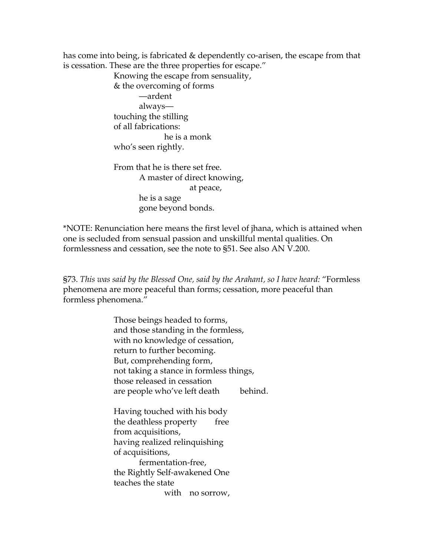has come into being, is fabricated & dependently co-arisen, the escape from that is cessation. These are the three properties for escape."

> Knowing the escape from sensuality, & the overcoming of forms —ardent always touching the stilling of all fabrications: he is a monk who's seen rightly. From that he is there set free. A master of direct knowing,

 at peace, he is a sage gone beyond bonds.

\*NOTE: Renunciation here means the first level of jhana, which is attained when one is secluded from sensual passion and unskillful mental qualities. On formlessness and cessation, see the note to §51. See also AN V.200.

§73. *This was said by the Blessed One, said by the Arahant, so I have heard:* "Formless phenomena are more peaceful than forms; cessation, more peaceful than formless phenomena."

> Those beings headed to forms, and those standing in the formless, with no knowledge of cessation, return to further becoming. But, comprehending form, not taking a stance in formless things, those released in cessation are people who've left death behind.

Having touched with his body the deathless property free from acquisitions, having realized relinquishing of acquisitions, fermentation-free, the Rightly Self-awakened One teaches the state with no sorrow,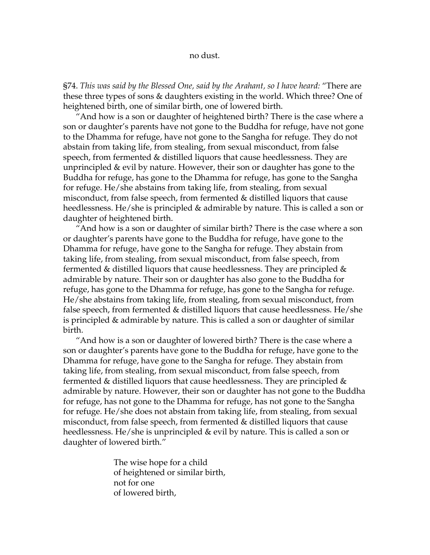#### no dust.

§74. *This was said by the Blessed One, said by the Arahant, so I have heard:* "There are these three types of sons & daughters existing in the world. Which three? One of heightened birth, one of similar birth, one of lowered birth.

"And how is a son or daughter of heightened birth? There is the case where a son or daughter's parents have not gone to the Buddha for refuge, have not gone to the Dhamma for refuge, have not gone to the Sangha for refuge. They do not abstain from taking life, from stealing, from sexual misconduct, from false speech, from fermented & distilled liquors that cause heedlessness. They are unprincipled & evil by nature. However, their son or daughter has gone to the Buddha for refuge, has gone to the Dhamma for refuge, has gone to the Sangha for refuge. He/she abstains from taking life, from stealing, from sexual misconduct, from false speech, from fermented & distilled liquors that cause heedlessness. He/she is principled & admirable by nature. This is called a son or daughter of heightened birth.

"And how is a son or daughter of similar birth? There is the case where a son or daughter's parents have gone to the Buddha for refuge, have gone to the Dhamma for refuge, have gone to the Sangha for refuge. They abstain from taking life, from stealing, from sexual misconduct, from false speech, from fermented  $\&$  distilled liquors that cause heedlessness. They are principled  $\&$ admirable by nature. Their son or daughter has also gone to the Buddha for refuge, has gone to the Dhamma for refuge, has gone to the Sangha for refuge. He/she abstains from taking life, from stealing, from sexual misconduct, from false speech, from fermented & distilled liquors that cause heedlessness. He/she is principled & admirable by nature. This is called a son or daughter of similar birth.

"And how is a son or daughter of lowered birth? There is the case where a son or daughter's parents have gone to the Buddha for refuge, have gone to the Dhamma for refuge, have gone to the Sangha for refuge. They abstain from taking life, from stealing, from sexual misconduct, from false speech, from fermented  $\&$  distilled liquors that cause heedlessness. They are principled  $\&$ admirable by nature. However, their son or daughter has not gone to the Buddha for refuge, has not gone to the Dhamma for refuge, has not gone to the Sangha for refuge. He/she does not abstain from taking life, from stealing, from sexual misconduct, from false speech, from fermented & distilled liquors that cause heedlessness. He/she is unprincipled & evil by nature. This is called a son or daughter of lowered birth."

> The wise hope for a child of heightened or similar birth, not for one of lowered birth,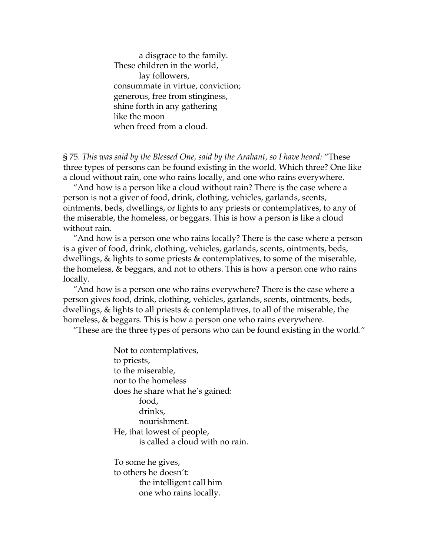a disgrace to the family. These children in the world, lay followers, consummate in virtue, conviction; generous, free from stinginess, shine forth in any gathering like the moon when freed from a cloud.

§ 75. *This was said by the Blessed One, said by the Arahant, so I have heard:* "These three types of persons can be found existing in the world. Which three? One like a cloud without rain, one who rains locally, and one who rains everywhere.

"And how is a person like a cloud without rain? There is the case where a person is not a giver of food, drink, clothing, vehicles, garlands, scents, ointments, beds, dwellings, or lights to any priests or contemplatives, to any of the miserable, the homeless, or beggars. This is how a person is like a cloud without rain.

"And how is a person one who rains locally? There is the case where a person is a giver of food, drink, clothing, vehicles, garlands, scents, ointments, beds, dwellings, & lights to some priests & contemplatives, to some of the miserable, the homeless, & beggars, and not to others. This is how a person one who rains locally.

"And how is a person one who rains everywhere? There is the case where a person gives food, drink, clothing, vehicles, garlands, scents, ointments, beds, dwellings, & lights to all priests & contemplatives, to all of the miserable, the homeless, & beggars. This is how a person one who rains everywhere.

"These are the three types of persons who can be found existing in the world."

Not to contemplatives, to priests, to the miserable, nor to the homeless does he share what he's gained: food, drinks, nourishment. He, that lowest of people, is called a cloud with no rain. To some he gives,

to others he doesn't: the intelligent call him one who rains locally.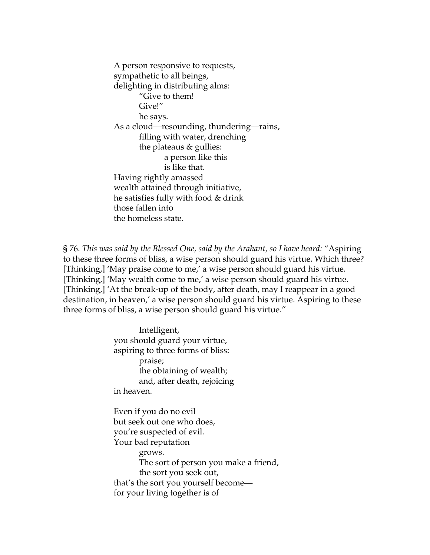A person responsive to requests, sympathetic to all beings, delighting in distributing alms: "Give to them! Give!" he says. As a cloud—resounding, thundering—rains, filling with water, drenching the plateaus & gullies: a person like this is like that. Having rightly amassed wealth attained through initiative, he satisfies fully with food & drink those fallen into the homeless state.

§ 76. *This was said by the Blessed One, said by the Arahant, so I have heard:* "Aspiring to these three forms of bliss, a wise person should guard his virtue. Which three? [Thinking,] 'May praise come to me,' a wise person should guard his virtue. [Thinking,] 'May wealth come to me,' a wise person should guard his virtue. [Thinking,] 'At the break-up of the body, after death, may I reappear in a good destination, in heaven,' a wise person should guard his virtue. Aspiring to these three forms of bliss, a wise person should guard his virtue."

> Intelligent, you should guard your virtue, aspiring to three forms of bliss: praise; the obtaining of wealth; and, after death, rejoicing in heaven. Even if you do no evil but seek out one who does, you're suspected of evil. Your bad reputation grows. The sort of person you make a friend, the sort you seek out, that's the sort you yourself become for your living together is of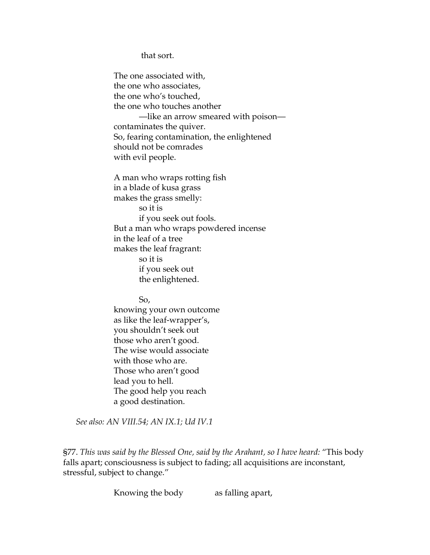that sort.

The one associated with, the one who associates, the one who's touched, the one who touches another —like an arrow smeared with poison contaminates the quiver. So, fearing contamination, the enlightened should not be comrades with evil people.

A man who wraps rotting fish in a blade of kusa grass makes the grass smelly: so it is if you seek out fools. But a man who wraps powdered incense in the leaf of a tree makes the leaf fragrant: so it is if you seek out the enlightened.

So,

knowing your own outcome as like the leaf-wrapper's, you shouldn't seek out those who aren't good. The wise would associate with those who are. Those who aren't good lead you to hell. The good help you reach a good destination.

*See also: AN VIII.54; AN IX.1; Ud IV.1* 

§77. *This was said by the Blessed One, said by the Arahant, so I have heard:* "This body falls apart; consciousness is subject to fading; all acquisitions are inconstant, stressful, subject to change."

Knowing the body as falling apart,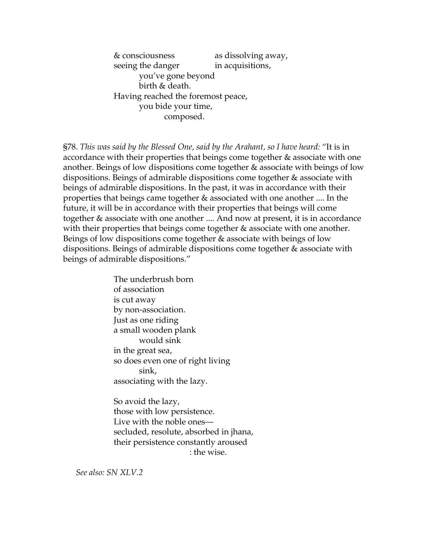& consciousness as dissolving away, seeing the danger in acquisitions, you've gone beyond birth & death. Having reached the foremost peace, you bide your time, composed.

§78. *This was said by the Blessed One, said by the Arahant, so I have heard:* "It is in accordance with their properties that beings come together & associate with one another. Beings of low dispositions come together & associate with beings of low dispositions. Beings of admirable dispositions come together & associate with beings of admirable dispositions. In the past, it was in accordance with their properties that beings came together & associated with one another .... In the future, it will be in accordance with their properties that beings will come together & associate with one another .... And now at present, it is in accordance with their properties that beings come together & associate with one another. Beings of low dispositions come together & associate with beings of low dispositions. Beings of admirable dispositions come together & associate with beings of admirable dispositions."

> The underbrush born of association is cut away by non-association. Just as one riding a small wooden plank would sink in the great sea, so does even one of right living sink, associating with the lazy.

So avoid the lazy, those with low persistence. Live with the noble ones secluded, resolute, absorbed in jhana, their persistence constantly aroused : the wise.

*See also: SN XLV.2*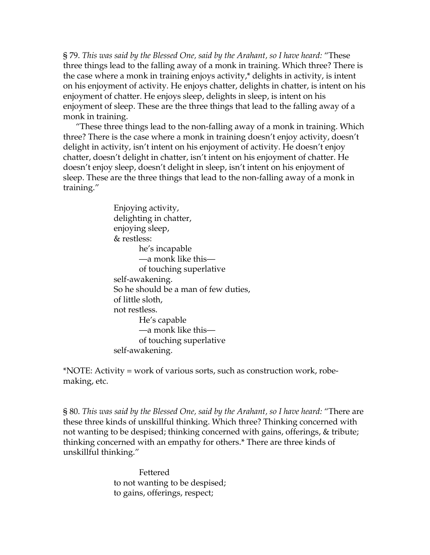§ 79. *This was said by the Blessed One, said by the Arahant, so I have heard:* "These three things lead to the falling away of a monk in training. Which three? There is the case where a monk in training enjoys activity,\* delights in activity, is intent on his enjoyment of activity. He enjoys chatter, delights in chatter, is intent on his enjoyment of chatter. He enjoys sleep, delights in sleep, is intent on his enjoyment of sleep. These are the three things that lead to the falling away of a monk in training.

"These three things lead to the non-falling away of a monk in training. Which three? There is the case where a monk in training doesn't enjoy activity, doesn't delight in activity, isn't intent on his enjoyment of activity. He doesn't enjoy chatter, doesn't delight in chatter, isn't intent on his enjoyment of chatter. He doesn't enjoy sleep, doesn't delight in sleep, isn't intent on his enjoyment of sleep. These are the three things that lead to the non-falling away of a monk in training."

> Enjoying activity, delighting in chatter, enjoying sleep, & restless: he's incapable —a monk like this of touching superlative self-awakening. So he should be a man of few duties, of little sloth, not restless. He's capable —a monk like this of touching superlative self-awakening.

\*NOTE: Activity = work of various sorts, such as construction work, robemaking, etc.

§ 80. *This was said by the Blessed One, said by the Arahant, so I have heard:* "There are these three kinds of unskillful thinking. Which three? Thinking concerned with not wanting to be despised; thinking concerned with gains, offerings, & tribute; thinking concerned with an empathy for others.\* There are three kinds of unskillful thinking."

> Fettered to not wanting to be despised; to gains, offerings, respect;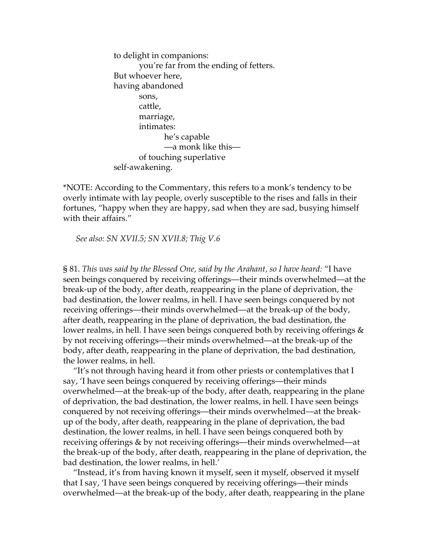to delight in companions: you're far from the ending of fetters. But whoever here, having abandoned sons, cattle, marriage, intimates: he's capable —a monk like this of touching superlative self-awakening.

\*NOTE: According to the Commentary, this refers to a monk's tendency to be overly intimate with lay people, overly susceptible to the rises and falls in their fortunes, "happy when they are happy, sad when they are sad, busying himself with their affairs."

*See also: SN XVII.5; SN XVII.8; Thig V.6* 

§ 81. *This was said by the Blessed One, said by the Arahant, so I have heard:* "I have seen beings conquered by receiving offerings—their minds overwhelmed—at the break-up of the body, after death, reappearing in the plane of deprivation, the bad destination, the lower realms, in hell. I have seen beings conquered by not receiving offerings—their minds overwhelmed—at the break-up of the body, after death, reappearing in the plane of deprivation, the bad destination, the lower realms, in hell. I have seen beings conquered both by receiving offerings & by not receiving offerings—their minds overwhelmed—at the break-up of the body, after death, reappearing in the plane of deprivation, the bad destination, the lower realms, in hell.

"It's not through having heard it from other priests or contemplatives that I say, 'I have seen beings conquered by receiving offerings—their minds overwhelmed—at the break-up of the body, after death, reappearing in the plane of deprivation, the bad destination, the lower realms, in hell. I have seen beings conquered by not receiving offerings—their minds overwhelmed—at the breakup of the body, after death, reappearing in the plane of deprivation, the bad destination, the lower realms, in hell. I have seen beings conquered both by receiving offerings & by not receiving offerings—their minds overwhelmed—at the break-up of the body, after death, reappearing in the plane of deprivation, the bad destination, the lower realms, in hell.'

"Instead, it's from having known it myself, seen it myself, observed it myself that I say, 'I have seen beings conquered by receiving offerings—their minds overwhelmed—at the break-up of the body, after death, reappearing in the plane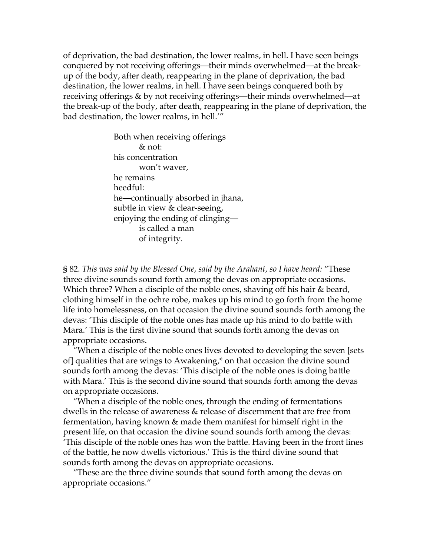of deprivation, the bad destination, the lower realms, in hell. I have seen beings conquered by not receiving offerings—their minds overwhelmed—at the breakup of the body, after death, reappearing in the plane of deprivation, the bad destination, the lower realms, in hell. I have seen beings conquered both by receiving offerings & by not receiving offerings—their minds overwhelmed—at the break-up of the body, after death, reappearing in the plane of deprivation, the bad destination, the lower realms, in hell.'"

> Both when receiving offerings & not: his concentration won't waver, he remains heedful: he—continually absorbed in jhana, subtle in view & clear-seeing, enjoying the ending of clinging is called a man of integrity.

§ 82. *This was said by the Blessed One, said by the Arahant, so I have heard:* "These three divine sounds sound forth among the devas on appropriate occasions. Which three? When a disciple of the noble ones, shaving off his hair & beard, clothing himself in the ochre robe, makes up his mind to go forth from the home life into homelessness, on that occasion the divine sound sounds forth among the devas: 'This disciple of the noble ones has made up his mind to do battle with Mara.' This is the first divine sound that sounds forth among the devas on appropriate occasions.

"When a disciple of the noble ones lives devoted to developing the seven [sets of] qualities that are wings to Awakening,\* on that occasion the divine sound sounds forth among the devas: 'This disciple of the noble ones is doing battle with Mara.' This is the second divine sound that sounds forth among the devas on appropriate occasions.

"When a disciple of the noble ones, through the ending of fermentations dwells in the release of awareness & release of discernment that are free from fermentation, having known & made them manifest for himself right in the present life, on that occasion the divine sound sounds forth among the devas: 'This disciple of the noble ones has won the battle. Having been in the front lines of the battle, he now dwells victorious.' This is the third divine sound that sounds forth among the devas on appropriate occasions.

"These are the three divine sounds that sound forth among the devas on appropriate occasions."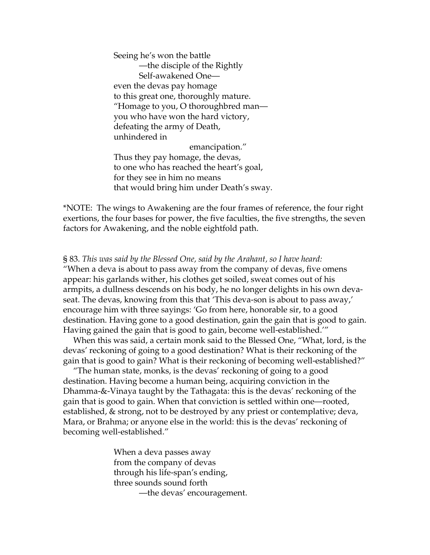Seeing he's won the battle —the disciple of the Rightly Self-awakened One even the devas pay homage to this great one, thoroughly mature. "Homage to you, O thoroughbred man you who have won the hard victory, defeating the army of Death, unhindered in emancipation." Thus they pay homage, the devas, to one who has reached the heart's goal, for they see in him no means

that would bring him under Death's sway.

\*NOTE: The wings to Awakening are the four frames of reference, the four right exertions, the four bases for power, the five faculties, the five strengths, the seven factors for Awakening, and the noble eightfold path.

§ 83. *This was said by the Blessed One, said by the Arahant, so I have heard:*  "When a deva is about to pass away from the company of devas, five omens appear: his garlands wither, his clothes get soiled, sweat comes out of his armpits, a dullness descends on his body, he no longer delights in his own devaseat. The devas, knowing from this that 'This deva-son is about to pass away,' encourage him with three sayings: 'Go from here, honorable sir, to a good destination. Having gone to a good destination, gain the gain that is good to gain. Having gained the gain that is good to gain, become well-established.'"

When this was said, a certain monk said to the Blessed One, "What, lord, is the devas' reckoning of going to a good destination? What is their reckoning of the gain that is good to gain? What is their reckoning of becoming well-established?"

"The human state, monks, is the devas' reckoning of going to a good destination. Having become a human being, acquiring conviction in the Dhamma-&-Vinaya taught by the Tathagata: this is the devas' reckoning of the gain that is good to gain. When that conviction is settled within one—rooted, established, & strong, not to be destroyed by any priest or contemplative; deva, Mara, or Brahma; or anyone else in the world: this is the devas' reckoning of becoming well-established."

> When a deva passes away from the company of devas through his life-span's ending, three sounds sound forth —the devas' encouragement.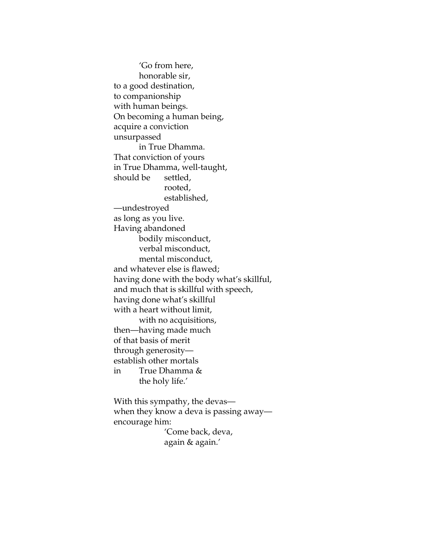'Go from here, honorable sir, to a good destination, to companionship with human beings. On becoming a human being, acquire a conviction unsurpassed in True Dhamma. That conviction of yours in True Dhamma, well-taught, should be settled, rooted, established, —undestroyed as long as you live. Having abandoned bodily misconduct, verbal misconduct, mental misconduct, and whatever else is flawed; having done with the body what's skillful, and much that is skillful with speech, having done what's skillful with a heart without limit, with no acquisitions, then—having made much of that basis of merit through generosity establish other mortals in True Dhamma & the holy life.'

With this sympathy, the devas when they know a deva is passing away encourage him:

 'Come back, deva, again & again.'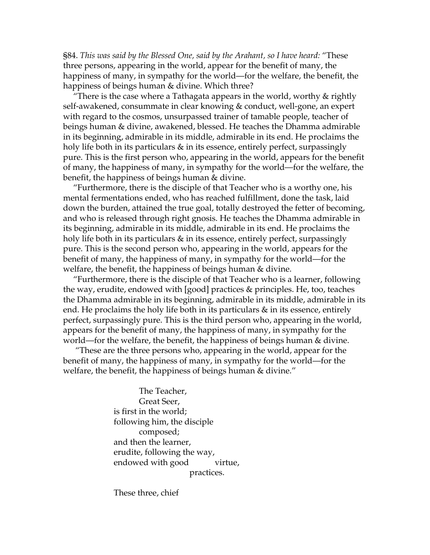§84. *This was said by the Blessed One, said by the Arahant, so I have heard:* "These three persons, appearing in the world, appear for the benefit of many, the happiness of many, in sympathy for the world—for the welfare, the benefit, the happiness of beings human & divine. Which three?

"There is the case where a Tathagata appears in the world, worthy & rightly self-awakened, consummate in clear knowing & conduct, well-gone, an expert with regard to the cosmos, unsurpassed trainer of tamable people, teacher of beings human & divine, awakened, blessed. He teaches the Dhamma admirable in its beginning, admirable in its middle, admirable in its end. He proclaims the holy life both in its particulars & in its essence, entirely perfect, surpassingly pure. This is the first person who, appearing in the world, appears for the benefit of many, the happiness of many, in sympathy for the world—for the welfare, the benefit, the happiness of beings human & divine.

"Furthermore, there is the disciple of that Teacher who is a worthy one, his mental fermentations ended, who has reached fulfillment, done the task, laid down the burden, attained the true goal, totally destroyed the fetter of becoming, and who is released through right gnosis. He teaches the Dhamma admirable in its beginning, admirable in its middle, admirable in its end. He proclaims the holy life both in its particulars & in its essence, entirely perfect, surpassingly pure. This is the second person who, appearing in the world, appears for the benefit of many, the happiness of many, in sympathy for the world—for the welfare, the benefit, the happiness of beings human & divine.

"Furthermore, there is the disciple of that Teacher who is a learner, following the way, erudite, endowed with [good] practices & principles. He, too, teaches the Dhamma admirable in its beginning, admirable in its middle, admirable in its end. He proclaims the holy life both in its particulars  $\&$  in its essence, entirely perfect, surpassingly pure. This is the third person who, appearing in the world, appears for the benefit of many, the happiness of many, in sympathy for the world—for the welfare, the benefit, the happiness of beings human & divine.

 "These are the three persons who, appearing in the world, appear for the benefit of many, the happiness of many, in sympathy for the world—for the welfare, the benefit, the happiness of beings human & divine."

> The Teacher, Great Seer, is first in the world; following him, the disciple composed; and then the learner, erudite, following the way, endowed with good virtue, practices.

These three, chief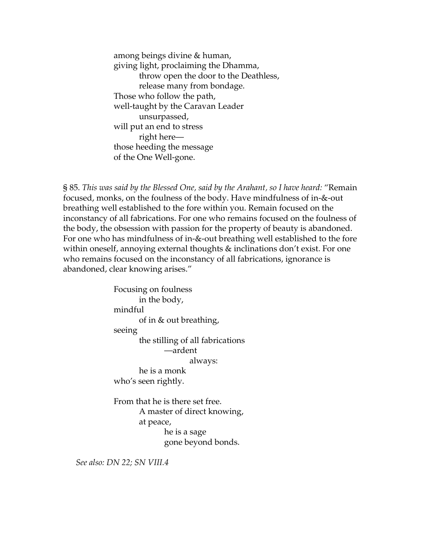among beings divine & human, giving light, proclaiming the Dhamma, throw open the door to the Deathless, release many from bondage. Those who follow the path, well-taught by the Caravan Leader unsurpassed, will put an end to stress right here those heeding the message of the One Well-gone.

§ 85. *This was said by the Blessed One, said by the Arahant, so I have heard:* "Remain focused, monks, on the foulness of the body. Have mindfulness of in-&-out breathing well established to the fore within you. Remain focused on the inconstancy of all fabrications. For one who remains focused on the foulness of the body, the obsession with passion for the property of beauty is abandoned. For one who has mindfulness of in-&-out breathing well established to the fore within oneself, annoying external thoughts & inclinations don't exist. For one who remains focused on the inconstancy of all fabrications, ignorance is abandoned, clear knowing arises."

> Focusing on foulness in the body, mindful of in & out breathing, seeing the stilling of all fabrications —ardent always: he is a monk who's seen rightly. From that he is there set free. A master of direct knowing, at peace, he is a sage gone beyond bonds.

*See also: DN 22; SN VIII.4*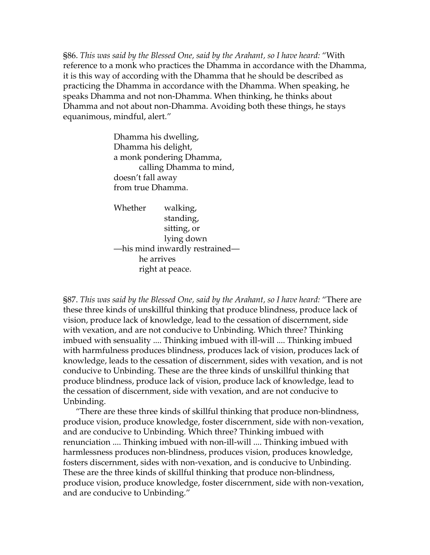§86. *This was said by the Blessed One, said by the Arahant, so I have heard:* "With reference to a monk who practices the Dhamma in accordance with the Dhamma, it is this way of according with the Dhamma that he should be described as practicing the Dhamma in accordance with the Dhamma. When speaking, he speaks Dhamma and not non-Dhamma. When thinking, he thinks about Dhamma and not about non-Dhamma. Avoiding both these things, he stays equanimous, mindful, alert."

> Dhamma his dwelling, Dhamma his delight, a monk pondering Dhamma, calling Dhamma to mind, doesn't fall away from true Dhamma.

Whether walking, standing, sitting, or lying down —his mind inwardly restrained he arrives right at peace.

§87. *This was said by the Blessed One, said by the Arahant, so I have heard:* "There are these three kinds of unskillful thinking that produce blindness, produce lack of vision, produce lack of knowledge, lead to the cessation of discernment, side with vexation, and are not conducive to Unbinding. Which three? Thinking imbued with sensuality .... Thinking imbued with ill-will .... Thinking imbued with harmfulness produces blindness, produces lack of vision, produces lack of knowledge, leads to the cessation of discernment, sides with vexation, and is not conducive to Unbinding. These are the three kinds of unskillful thinking that produce blindness, produce lack of vision, produce lack of knowledge, lead to the cessation of discernment, side with vexation, and are not conducive to Unbinding.

"There are these three kinds of skillful thinking that produce non-blindness, produce vision, produce knowledge, foster discernment, side with non-vexation, and are conducive to Unbinding. Which three? Thinking imbued with renunciation .... Thinking imbued with non-ill-will .... Thinking imbued with harmlessness produces non-blindness, produces vision, produces knowledge, fosters discernment, sides with non-vexation, and is conducive to Unbinding. These are the three kinds of skillful thinking that produce non-blindness, produce vision, produce knowledge, foster discernment, side with non-vexation, and are conducive to Unbinding."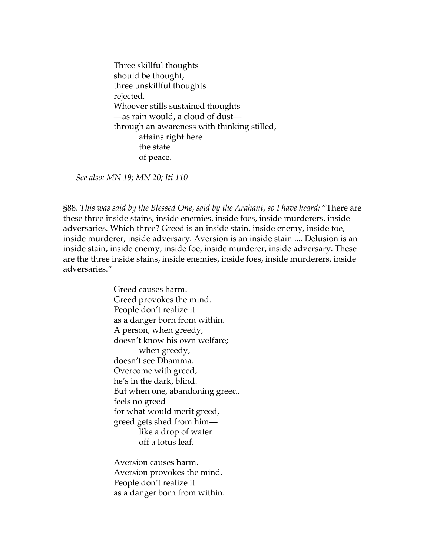Three skillful thoughts should be thought, three unskillful thoughts rejected. Whoever stills sustained thoughts —as rain would, a cloud of dust through an awareness with thinking stilled, attains right here the state of peace.

*See also: MN 19; MN 20; Iti 110* 

§88. *This was said by the Blessed One, said by the Arahant, so I have heard:* "There are these three inside stains, inside enemies, inside foes, inside murderers, inside adversaries. Which three? Greed is an inside stain, inside enemy, inside foe, inside murderer, inside adversary. Aversion is an inside stain .... Delusion is an inside stain, inside enemy, inside foe, inside murderer, inside adversary. These are the three inside stains, inside enemies, inside foes, inside murderers, inside adversaries."

> Greed causes harm. Greed provokes the mind. People don't realize it as a danger born from within. A person, when greedy, doesn't know his own welfare; when greedy, doesn't see Dhamma. Overcome with greed, he's in the dark, blind. But when one, abandoning greed, feels no greed for what would merit greed, greed gets shed from him like a drop of water off a lotus leaf.

Aversion causes harm. Aversion provokes the mind. People don't realize it as a danger born from within.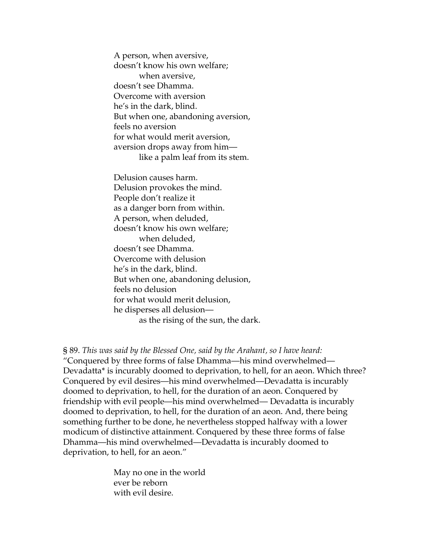A person, when aversive, doesn't know his own welfare; when aversive, doesn't see Dhamma. Overcome with aversion he's in the dark, blind. But when one, abandoning aversion, feels no aversion for what would merit aversion, aversion drops away from him like a palm leaf from its stem.

Delusion causes harm. Delusion provokes the mind. People don't realize it as a danger born from within. A person, when deluded, doesn't know his own welfare; when deluded, doesn't see Dhamma. Overcome with delusion he's in the dark, blind. But when one, abandoning delusion, feels no delusion for what would merit delusion, he disperses all delusion as the rising of the sun, the dark.

§ 89. *This was said by the Blessed One, said by the Arahant, so I have heard:*  "Conquered by three forms of false Dhamma—his mind overwhelmed— Devadatta\* is incurably doomed to deprivation, to hell, for an aeon. Which three? Conquered by evil desires—his mind overwhelmed—Devadatta is incurably doomed to deprivation, to hell, for the duration of an aeon. Conquered by friendship with evil people—his mind overwhelmed— Devadatta is incurably doomed to deprivation, to hell, for the duration of an aeon. And, there being something further to be done, he nevertheless stopped halfway with a lower modicum of distinctive attainment. Conquered by these three forms of false Dhamma—his mind overwhelmed—Devadatta is incurably doomed to deprivation, to hell, for an aeon."

> May no one in the world ever be reborn with evil desire.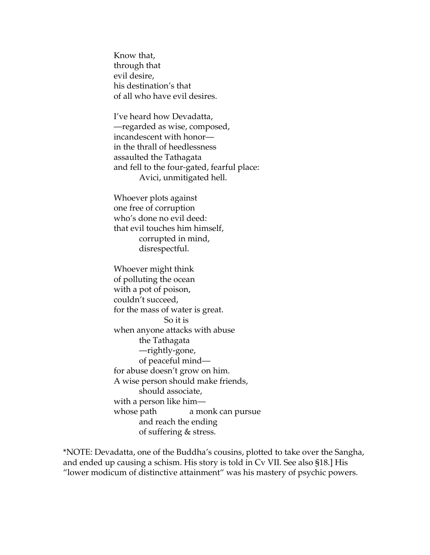Know that, through that evil desire, his destination's that of all who have evil desires.

I've heard how Devadatta, —regarded as wise, composed, incandescent with honor in the thrall of heedlessness assaulted the Tathagata and fell to the four-gated, fearful place: Avici, unmitigated hell.

Whoever plots against one free of corruption who's done no evil deed: that evil touches him himself, corrupted in mind, disrespectful.

Whoever might think of polluting the ocean with a pot of poison, couldn't succeed, for the mass of water is great. So it is when anyone attacks with abuse the Tathagata —rightly-gone, of peaceful mind for abuse doesn't grow on him. A wise person should make friends, should associate, with a person like him whose path a monk can pursue and reach the ending of suffering & stress.

\*NOTE: Devadatta, one of the Buddha's cousins, plotted to take over the Sangha, and ended up causing a schism. His story is told in Cv VII. See also §18.] His "lower modicum of distinctive attainment" was his mastery of psychic powers.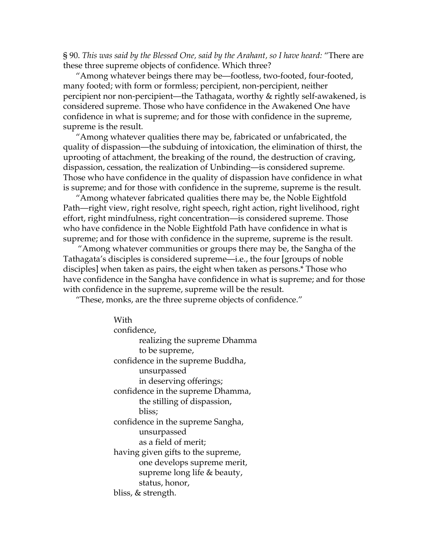§ 90. *This was said by the Blessed One, said by the Arahant, so I have heard:* "There are these three supreme objects of confidence. Which three?

"Among whatever beings there may be—footless, two-footed, four-footed, many footed; with form or formless; percipient, non-percipient, neither percipient nor non-percipient—the Tathagata, worthy & rightly self-awakened, is considered supreme. Those who have confidence in the Awakened One have confidence in what is supreme; and for those with confidence in the supreme, supreme is the result.

"Among whatever qualities there may be, fabricated or unfabricated, the quality of dispassion—the subduing of intoxication, the elimination of thirst, the uprooting of attachment, the breaking of the round, the destruction of craving, dispassion, cessation, the realization of Unbinding—is considered supreme. Those who have confidence in the quality of dispassion have confidence in what is supreme; and for those with confidence in the supreme, supreme is the result.

"Among whatever fabricated qualities there may be, the Noble Eightfold Path—right view, right resolve, right speech, right action, right livelihood, right effort, right mindfulness, right concentration—is considered supreme. Those who have confidence in the Noble Eightfold Path have confidence in what is supreme; and for those with confidence in the supreme, supreme is the result.

 "Among whatever communities or groups there may be, the Sangha of the Tathagata's disciples is considered supreme—i.e., the four [groups of noble disciples] when taken as pairs, the eight when taken as persons.\* Those who have confidence in the Sangha have confidence in what is supreme; and for those with confidence in the supreme, supreme will be the result.

"These, monks, are the three supreme objects of confidence."

With confidence, realizing the supreme Dhamma to be supreme, confidence in the supreme Buddha, unsurpassed in deserving offerings; confidence in the supreme Dhamma, the stilling of dispassion, bliss; confidence in the supreme Sangha, unsurpassed as a field of merit; having given gifts to the supreme, one develops supreme merit, supreme long life & beauty, status, honor, bliss, & strength.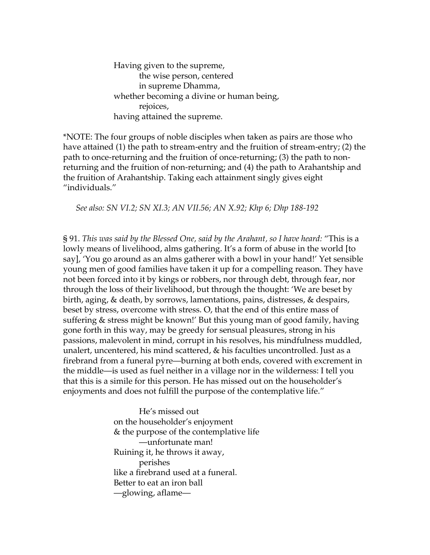Having given to the supreme, the wise person, centered in supreme Dhamma, whether becoming a divine or human being, rejoices, having attained the supreme.

\*NOTE: The four groups of noble disciples when taken as pairs are those who have attained (1) the path to stream-entry and the fruition of stream-entry; (2) the path to once-returning and the fruition of once-returning; (3) the path to nonreturning and the fruition of non-returning; and (4) the path to Arahantship and the fruition of Arahantship. Taking each attainment singly gives eight "individuals."

*See also: SN VI.2; SN XI.3; AN VII.56; AN X.92; Khp 6; Dhp 188-192* 

§ 91. *This was said by the Blessed One, said by the Arahant, so I have heard:* "This is a lowly means of livelihood, alms gathering. It's a form of abuse in the world [to say], 'You go around as an alms gatherer with a bowl in your hand!' Yet sensible young men of good families have taken it up for a compelling reason. They have not been forced into it by kings or robbers, nor through debt, through fear, nor through the loss of their livelihood, but through the thought: 'We are beset by birth, aging, & death, by sorrows, lamentations, pains, distresses, & despairs, beset by stress, overcome with stress. O, that the end of this entire mass of suffering & stress might be known!' But this young man of good family, having gone forth in this way, may be greedy for sensual pleasures, strong in his passions, malevolent in mind, corrupt in his resolves, his mindfulness muddled, unalert, uncentered, his mind scattered, & his faculties uncontrolled. Just as a firebrand from a funeral pyre—burning at both ends, covered with excrement in the middle—is used as fuel neither in a village nor in the wilderness: I tell you that this is a simile for this person. He has missed out on the householder's enjoyments and does not fulfill the purpose of the contemplative life."

> He's missed out on the householder's enjoyment & the purpose of the contemplative life —unfortunate man! Ruining it, he throws it away, perishes like a firebrand used at a funeral. Better to eat an iron ball —glowing, aflame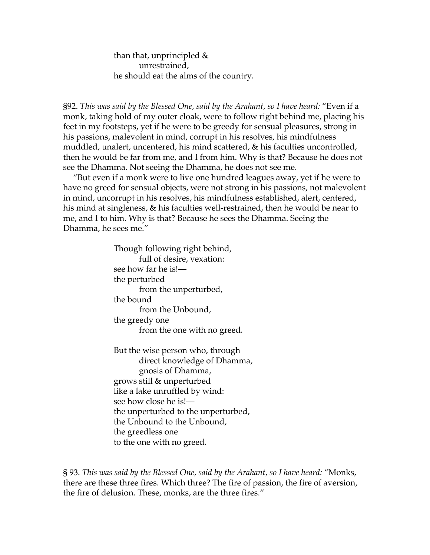than that, unprincipled & unrestrained, he should eat the alms of the country.

§92. *This was said by the Blessed One, said by the Arahant, so I have heard:* "Even if a monk, taking hold of my outer cloak, were to follow right behind me, placing his feet in my footsteps, yet if he were to be greedy for sensual pleasures, strong in his passions, malevolent in mind, corrupt in his resolves, his mindfulness muddled, unalert, uncentered, his mind scattered, & his faculties uncontrolled, then he would be far from me, and I from him. Why is that? Because he does not see the Dhamma. Not seeing the Dhamma, he does not see me.

"But even if a monk were to live one hundred leagues away, yet if he were to have no greed for sensual objects, were not strong in his passions, not malevolent in mind, uncorrupt in his resolves, his mindfulness established, alert, centered, his mind at singleness, & his faculties well-restrained, then he would be near to me, and I to him. Why is that? Because he sees the Dhamma. Seeing the Dhamma, he sees me."

> Though following right behind, full of desire, vexation: see how far he is! the perturbed from the unperturbed, the bound from the Unbound, the greedy one from the one with no greed.

But the wise person who, through direct knowledge of Dhamma, gnosis of Dhamma, grows still & unperturbed like a lake unruffled by wind: see how close he is! the unperturbed to the unperturbed, the Unbound to the Unbound, the greedless one to the one with no greed.

§ 93. *This was said by the Blessed One, said by the Arahant, so I have heard:* "Monks, there are these three fires. Which three? The fire of passion, the fire of aversion, the fire of delusion. These, monks, are the three fires."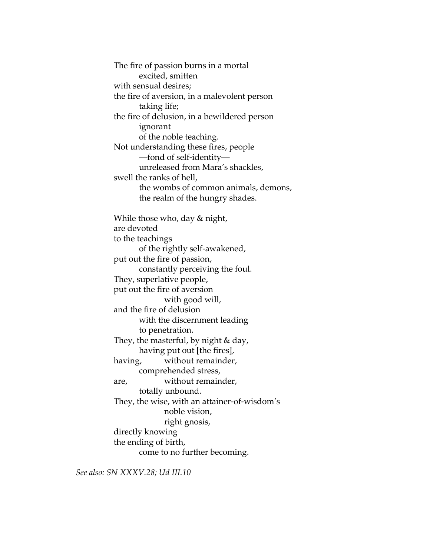The fire of passion burns in a mortal excited, smitten with sensual desires; the fire of aversion, in a malevolent person taking life; the fire of delusion, in a bewildered person ignorant of the noble teaching. Not understanding these fires, people —fond of self-identity unreleased from Mara's shackles, swell the ranks of hell, the wombs of common animals, demons, the realm of the hungry shades. While those who, day & night, are devoted to the teachings of the rightly self-awakened, put out the fire of passion, constantly perceiving the foul. They, superlative people, put out the fire of aversion with good will, and the fire of delusion with the discernment leading to penetration. They, the masterful, by night & day, having put out [the fires], having, without remainder, comprehended stress, are, without remainder, totally unbound. They, the wise, with an attainer-of-wisdom's noble vision, right gnosis, directly knowing the ending of birth, come to no further becoming.

*See also: SN XXXV.28; Ud III.10*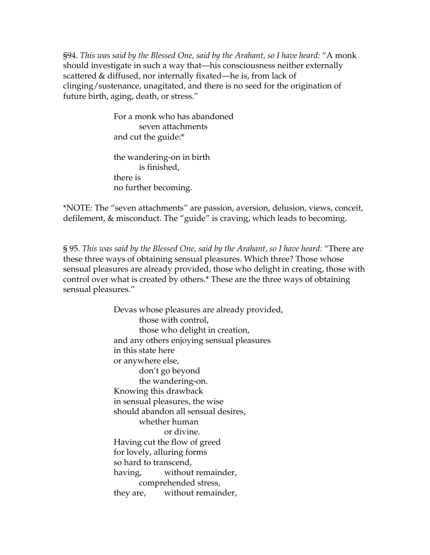§94. *This was said by the Blessed One, said by the Arahant, so I have heard:* "A monk should investigate in such a way that—his consciousness neither externally scattered & diffused, nor internally fixated—he is, from lack of clinging/sustenance, unagitated, and there is no seed for the origination of future birth, aging, death, or stress."

> For a monk who has abandoned seven attachments and cut the guide:\*

the wandering-on in birth is finished, there is no further becoming.

\*NOTE: The "seven attachments" are passion, aversion, delusion, views, conceit, defilement, & misconduct. The "guide" is craving, which leads to becoming.

§ 95. *This was said by the Blessed One, said by the Arahant, so I have heard:* "There are these three ways of obtaining sensual pleasures. Which three? Those whose sensual pleasures are already provided, those who delight in creating, those with control over what is created by others.\* These are the three ways of obtaining sensual pleasures."

> Devas whose pleasures are already provided, those with control, those who delight in creation, and any others enjoying sensual pleasures in this state here or anywhere else, don't go beyond the wandering-on. Knowing this drawback in sensual pleasures, the wise should abandon all sensual desires, whether human or divine. Having cut the flow of greed for lovely, alluring forms so hard to transcend, having, without remainder, comprehended stress, they are, without remainder,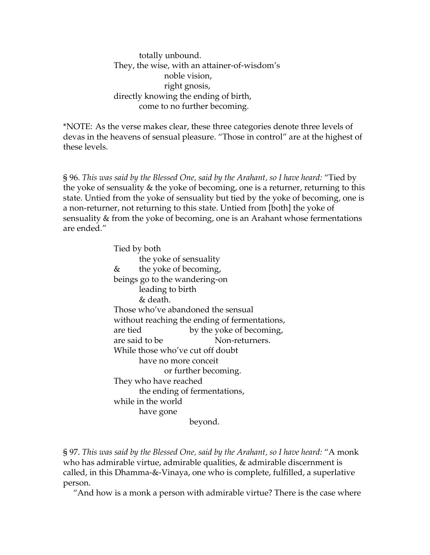totally unbound. They, the wise, with an attainer-of-wisdom's noble vision, right gnosis, directly knowing the ending of birth, come to no further becoming.

\*NOTE:As the verse makes clear, these three categories denote three levels of devas in the heavens of sensual pleasure. "Those in control" are at the highest of these levels.

§ 96. *This was said by the Blessed One, said by the Arahant, so I have heard:* "Tied by the yoke of sensuality & the yoke of becoming, one is a returner, returning to this state. Untied from the yoke of sensuality but tied by the yoke of becoming, one is a non-returner, not returning to this state. Untied from [both] the yoke of sensuality & from the yoke of becoming, one is an Arahant whose fermentations are ended."

> Tied by both the yoke of sensuality & the yoke of becoming, beings go to the wandering-on leading to birth & death. Those who've abandoned the sensual without reaching the ending of fermentations, are tied by the yoke of becoming, are said to be Non-returners. While those who've cut off doubt have no more conceit or further becoming. They who have reached the ending of fermentations, while in the world have gone beyond.

§ 97. *This was said by the Blessed One, said by the Arahant, so I have heard:* "A monk who has admirable virtue, admirable qualities, & admirable discernment is called, in this Dhamma-&-Vinaya, one who is complete, fulfilled, a superlative person.

"And how is a monk a person with admirable virtue? There is the case where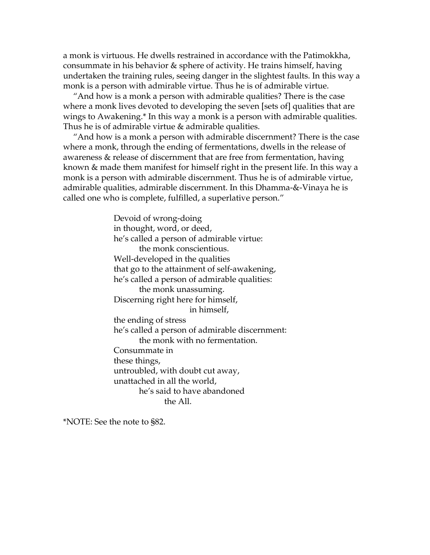a monk is virtuous. He dwells restrained in accordance with the Patimokkha, consummate in his behavior & sphere of activity. He trains himself, having undertaken the training rules, seeing danger in the slightest faults. In this way a monk is a person with admirable virtue. Thus he is of admirable virtue.

"And how is a monk a person with admirable qualities? There is the case where a monk lives devoted to developing the seven [sets of] qualities that are wings to Awakening.\* In this way a monk is a person with admirable qualities. Thus he is of admirable virtue & admirable qualities.

"And how is a monk a person with admirable discernment? There is the case where a monk, through the ending of fermentations, dwells in the release of awareness & release of discernment that are free from fermentation, having known & made them manifest for himself right in the present life. In this way a monk is a person with admirable discernment. Thus he is of admirable virtue, admirable qualities, admirable discernment. In this Dhamma-&-Vinaya he is called one who is complete, fulfilled, a superlative person."

> Devoid of wrong-doing in thought, word, or deed, he's called a person of admirable virtue: the monk conscientious. Well-developed in the qualities that go to the attainment of self-awakening, he's called a person of admirable qualities: the monk unassuming. Discerning right here for himself, in himself, the ending of stress he's called a person of admirable discernment: the monk with no fermentation. Consummate in these things, untroubled, with doubt cut away, unattached in all the world, he's said to have abandoned the All.

\*NOTE: See the note to §82.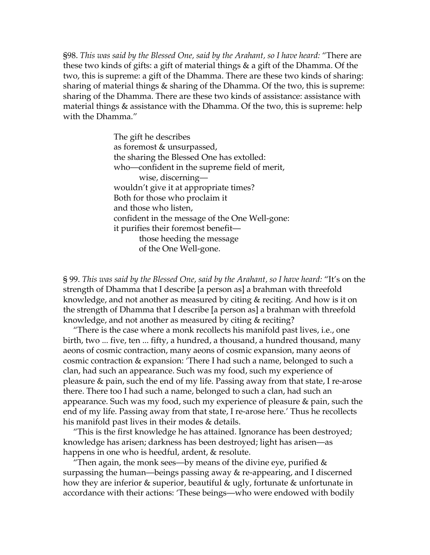§98. *This was said by the Blessed One, said by the Arahant, so I have heard:* "There are these two kinds of gifts: a gift of material things & a gift of the Dhamma. Of the two, this is supreme: a gift of the Dhamma. There are these two kinds of sharing: sharing of material things & sharing of the Dhamma. Of the two, this is supreme: sharing of the Dhamma. There are these two kinds of assistance: assistance with material things & assistance with the Dhamma. Of the two, this is supreme: help with the Dhamma."

> The gift he describes as foremost & unsurpassed, the sharing the Blessed One has extolled: who—confident in the supreme field of merit, wise, discerning wouldn't give it at appropriate times? Both for those who proclaim it and those who listen, confident in the message of the One Well-gone: it purifies their foremost benefit those heeding the message of the One Well-gone.

§ 99. *This was said by the Blessed One, said by the Arahant, so I have heard:* "It's on the strength of Dhamma that I describe [a person as] a brahman with threefold knowledge, and not another as measured by citing & reciting. And how is it on the strength of Dhamma that I describe [a person as] a brahman with threefold knowledge, and not another as measured by citing & reciting?

"There is the case where a monk recollects his manifold past lives, i.e., one birth, two ... five, ten ... fifty, a hundred, a thousand, a hundred thousand, many aeons of cosmic contraction, many aeons of cosmic expansion, many aeons of cosmic contraction & expansion: 'There I had such a name, belonged to such a clan, had such an appearance. Such was my food, such my experience of pleasure & pain, such the end of my life. Passing away from that state, I re-arose there. There too I had such a name, belonged to such a clan, had such an appearance. Such was my food, such my experience of pleasure & pain, such the end of my life. Passing away from that state, I re-arose here.' Thus he recollects his manifold past lives in their modes & details.

"This is the first knowledge he has attained. Ignorance has been destroyed; knowledge has arisen; darkness has been destroyed; light has arisen—as happens in one who is heedful, ardent, & resolute.

"Then again, the monk sees—by means of the divine eye, purified  $\&$ surpassing the human—beings passing away & re-appearing, and I discerned how they are inferior & superior, beautiful & ugly, fortunate & unfortunate in accordance with their actions: 'These beings—who were endowed with bodily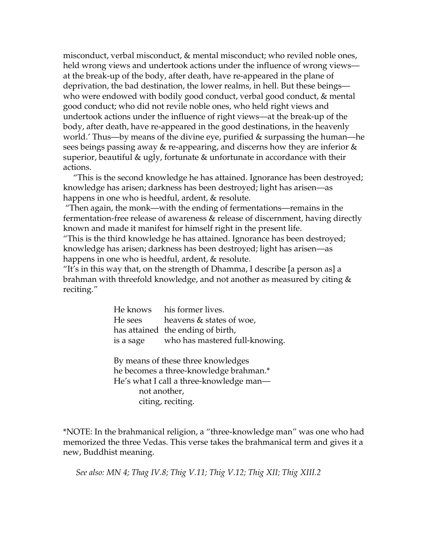misconduct, verbal misconduct, & mental misconduct; who reviled noble ones, held wrong views and undertook actions under the influence of wrong views at the break-up of the body, after death, have re-appeared in the plane of deprivation, the bad destination, the lower realms, in hell. But these beings who were endowed with bodily good conduct, verbal good conduct, & mental good conduct; who did not revile noble ones, who held right views and undertook actions under the influence of right views—at the break-up of the body, after death, have re-appeared in the good destinations, in the heavenly world.' Thus—by means of the divine eye, purified & surpassing the human—he sees beings passing away & re-appearing, and discerns how they are inferior & superior, beautiful & ugly, fortunate & unfortunate in accordance with their actions.

"This is the second knowledge he has attained. Ignorance has been destroyed; knowledge has arisen; darkness has been destroyed; light has arisen—as happens in one who is heedful, ardent, & resolute.

 "Then again, the monk—with the ending of fermentations—remains in the fermentation-free release of awareness & release of discernment, having directly known and made it manifest for himself right in the present life.

"This is the third knowledge he has attained. Ignorance has been destroyed; knowledge has arisen; darkness has been destroyed; light has arisen—as happens in one who is heedful, ardent, & resolute.

"It's in this way that, on the strength of Dhamma, I describe [a person as] a brahman with threefold knowledge, and not another as measured by citing & reciting."

> He knows his former lives. He sees heavens & states of woe, has attained the ending of birth, is a sage who has mastered full-knowing.

By means of these three knowledges he becomes a three-knowledge brahman.\* He's what I call a three-knowledge man not another, citing, reciting.

\*NOTE: In the brahmanical religion, a "three-knowledge man" was one who had memorized the three Vedas. This verse takes the brahmanical term and gives it a new, Buddhist meaning.

*See also: MN 4; Thag IV.8; Thig V.11; Thig V.12; Thig XII; Thig XIII.2*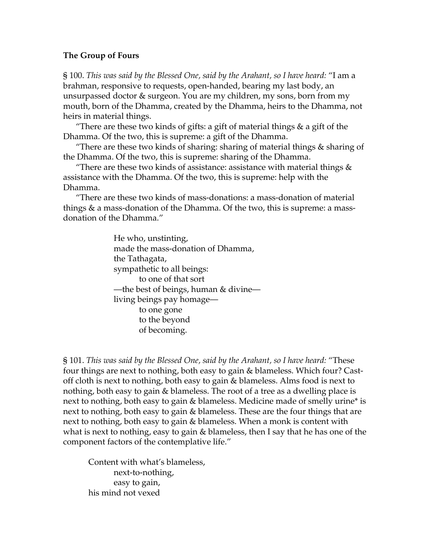# **The Group of Fours**

§ 100. *This was said by the Blessed One, said by the Arahant, so I have heard:* "I am a brahman, responsive to requests, open-handed, bearing my last body, an unsurpassed doctor & surgeon. You are my children, my sons, born from my mouth, born of the Dhamma, created by the Dhamma, heirs to the Dhamma, not heirs in material things.

"There are these two kinds of gifts: a gift of material things  $\&$  a gift of the Dhamma. Of the two, this is supreme: a gift of the Dhamma.

"There are these two kinds of sharing: sharing of material things & sharing of the Dhamma. Of the two, this is supreme: sharing of the Dhamma.

"There are these two kinds of assistance: assistance with material things  $\&$ assistance with the Dhamma. Of the two, this is supreme: help with the Dhamma.

"There are these two kinds of mass-donations: a mass-donation of material things & a mass-donation of the Dhamma. Of the two, this is supreme: a massdonation of the Dhamma."

> He who, unstinting, made the mass-donation of Dhamma, the Tathagata, sympathetic to all beings: to one of that sort —the best of beings, human & divine living beings pay homage to one gone to the beyond of becoming.

§ 101. *This was said by the Blessed One, said by the Arahant, so I have heard:* "These four things are next to nothing, both easy to gain & blameless. Which four? Castoff cloth is next to nothing, both easy to gain & blameless. Alms food is next to nothing, both easy to gain & blameless. The root of a tree as a dwelling place is next to nothing, both easy to gain & blameless. Medicine made of smelly urine\* is next to nothing, both easy to gain & blameless. These are the four things that are next to nothing, both easy to gain & blameless. When a monk is content with what is next to nothing, easy to gain & blameless, then I say that he has one of the component factors of the contemplative life."

Content with what's blameless, next-to-nothing, easy to gain, his mind not vexed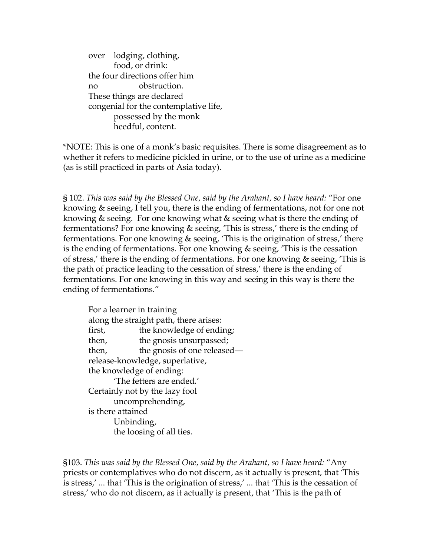over lodging, clothing, food, or drink: the four directions offer him no obstruction. These things are declared congenial for the contemplative life, possessed by the monk heedful, content.

\*NOTE: This is one of a monk's basic requisites. There is some disagreement as to whether it refers to medicine pickled in urine, or to the use of urine as a medicine (as is still practiced in parts of Asia today).

§ 102. *This was said by the Blessed One, said by the Arahant, so I have heard:* "For one knowing & seeing, I tell you, there is the ending of fermentations, not for one not knowing & seeing. For one knowing what & seeing what is there the ending of fermentations? For one knowing & seeing, 'This is stress,' there is the ending of fermentations. For one knowing & seeing, 'This is the origination of stress,' there is the ending of fermentations. For one knowing & seeing, 'This is the cessation of stress,' there is the ending of fermentations. For one knowing & seeing, 'This is the path of practice leading to the cessation of stress,' there is the ending of fermentations. For one knowing in this way and seeing in this way is there the ending of fermentations."

 For a learner in training along the straight path, there arises: first, the knowledge of ending; then, the gnosis unsurpassed; then, the gnosis of one released release-knowledge, superlative, the knowledge of ending: 'The fetters are ended.' Certainly not by the lazy fool uncomprehending, is there attained Unbinding, the loosing of all ties.

§103. *This was said by the Blessed One, said by the Arahant, so I have heard:* "Any priests or contemplatives who do not discern, as it actually is present, that 'This is stress,' ... that 'This is the origination of stress,' ... that 'This is the cessation of stress,' who do not discern, as it actually is present, that 'This is the path of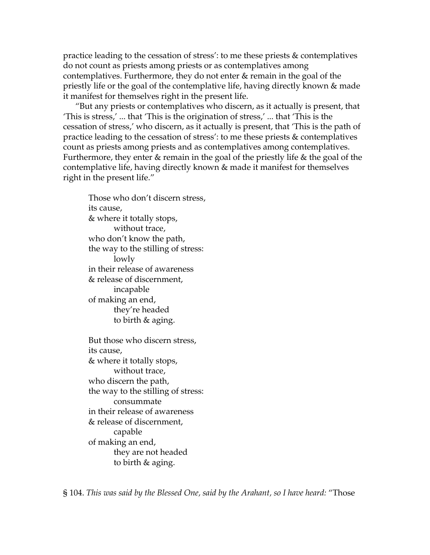practice leading to the cessation of stress': to me these priests & contemplatives do not count as priests among priests or as contemplatives among contemplatives. Furthermore, they do not enter & remain in the goal of the priestly life or the goal of the contemplative life, having directly known & made it manifest for themselves right in the present life.

 "But any priests or contemplatives who discern, as it actually is present, that 'This is stress,' ... that 'This is the origination of stress,' ... that 'This is the cessation of stress,' who discern, as it actually is present, that 'This is the path of practice leading to the cessation of stress': to me these priests & contemplatives count as priests among priests and as contemplatives among contemplatives. Furthermore, they enter & remain in the goal of the priestly life & the goal of the contemplative life, having directly known & made it manifest for themselves right in the present life."

Those who don't discern stress, its cause, & where it totally stops, without trace, who don't know the path, the way to the stilling of stress: lowly in their release of awareness & release of discernment, incapable of making an end, they're headed to birth & aging.

But those who discern stress, its cause, & where it totally stops, without trace, who discern the path, the way to the stilling of stress: consummate in their release of awareness & release of discernment, capable of making an end, they are not headed to birth & aging.

§ 104. *This was said by the Blessed One, said by the Arahant, so I have heard:* "Those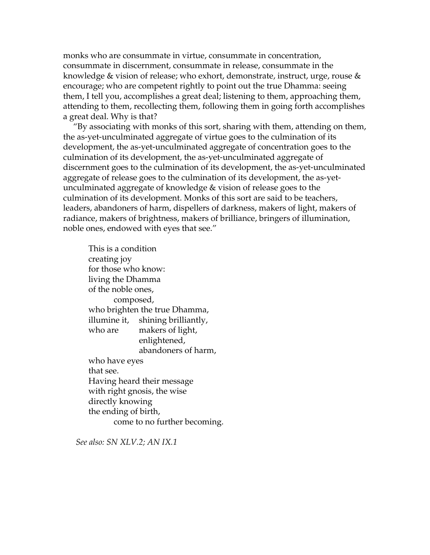monks who are consummate in virtue, consummate in concentration, consummate in discernment, consummate in release, consummate in the knowledge & vision of release; who exhort, demonstrate, instruct, urge, rouse & encourage; who are competent rightly to point out the true Dhamma: seeing them, I tell you, accomplishes a great deal; listening to them, approaching them, attending to them, recollecting them, following them in going forth accomplishes a great deal. Why is that?

"By associating with monks of this sort, sharing with them, attending on them, the as-yet-unculminated aggregate of virtue goes to the culmination of its development, the as-yet-unculminated aggregate of concentration goes to the culmination of its development, the as-yet-unculminated aggregate of discernment goes to the culmination of its development, the as-yet-unculminated aggregate of release goes to the culmination of its development, the as-yetunculminated aggregate of knowledge & vision of release goes to the culmination of its development. Monks of this sort are said to be teachers, leaders, abandoners of harm, dispellers of darkness, makers of light, makers of radiance, makers of brightness, makers of brilliance, bringers of illumination, noble ones, endowed with eyes that see."

This is a condition creating joy for those who know: living the Dhamma of the noble ones, composed, who brighten the true Dhamma, illumine it, shining brilliantly, who are makers of light, enlightened, abandoners of harm, who have eyes that see. Having heard their message with right gnosis, the wise directly knowing the ending of birth, come to no further becoming.

*See also: SN XLV.2; AN IX.1*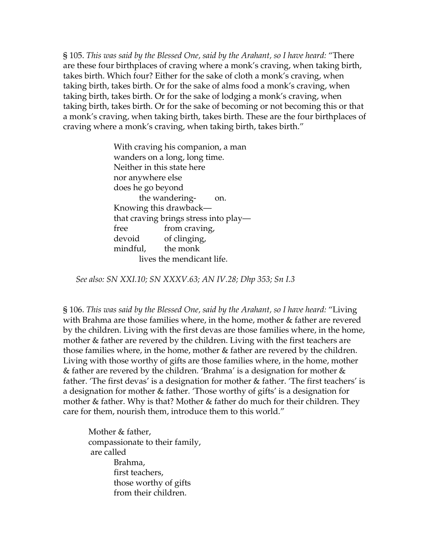§ 105. *This was said by the Blessed One, said by the Arahant, so I have heard:* "There are these four birthplaces of craving where a monk's craving, when taking birth, takes birth. Which four? Either for the sake of cloth a monk's craving, when taking birth, takes birth. Or for the sake of alms food a monk's craving, when taking birth, takes birth. Or for the sake of lodging a monk's craving, when taking birth, takes birth. Or for the sake of becoming or not becoming this or that a monk's craving, when taking birth, takes birth. These are the four birthplaces of craving where a monk's craving, when taking birth, takes birth."

> With craving his companion, a man wanders on a long, long time. Neither in this state here nor anywhere else does he go beyond the wandering- on. Knowing this drawback that craving brings stress into play free from craving, devoid of clinging, mindful, the monk lives the mendicant life.

*See also: SN XXI.10; SN XXXV.63; AN IV.28; Dhp 353; Sn I.3* 

§ 106. *This was said by the Blessed One, said by the Arahant, so I have heard:* "Living with Brahma are those families where, in the home, mother & father are revered by the children. Living with the first devas are those families where, in the home, mother & father are revered by the children. Living with the first teachers are those families where, in the home, mother & father are revered by the children. Living with those worthy of gifts are those families where, in the home, mother & father are revered by the children. 'Brahma' is a designation for mother & father. 'The first devas' is a designation for mother & father. 'The first teachers' is a designation for mother & father. 'Those worthy of gifts' is a designation for mother & father. Why is that? Mother & father do much for their children. They care for them, nourish them, introduce them to this world."

Mother & father, compassionate to their family, are called Brahma, first teachers, those worthy of gifts from their children.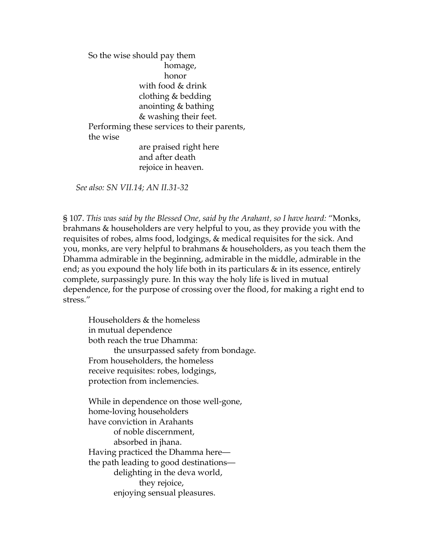So the wise should pay them homage, honor with food & drink clothing & bedding anointing & bathing & washing their feet. Performing these services to their parents, the wise are praised right here and after death rejoice in heaven.

*See also: SN VII.14; AN II.31-32* 

§ 107. *This was said by the Blessed One, said by the Arahant, so I have heard:* "Monks, brahmans & householders are very helpful to you, as they provide you with the requisites of robes, alms food, lodgings, & medical requisites for the sick. And you, monks, are very helpful to brahmans & householders, as you teach them the Dhamma admirable in the beginning, admirable in the middle, admirable in the end; as you expound the holy life both in its particulars & in its essence, entirely complete, surpassingly pure. In this way the holy life is lived in mutual dependence, for the purpose of crossing over the flood, for making a right end to stress."

 Householders & the homeless in mutual dependence both reach the true Dhamma: the unsurpassed safety from bondage. From householders, the homeless receive requisites: robes, lodgings, protection from inclemencies.

While in dependence on those well-gone, home-loving householders have conviction in Arahants of noble discernment, absorbed in jhana. Having practiced the Dhamma here the path leading to good destinations delighting in the deva world, they rejoice, enjoying sensual pleasures.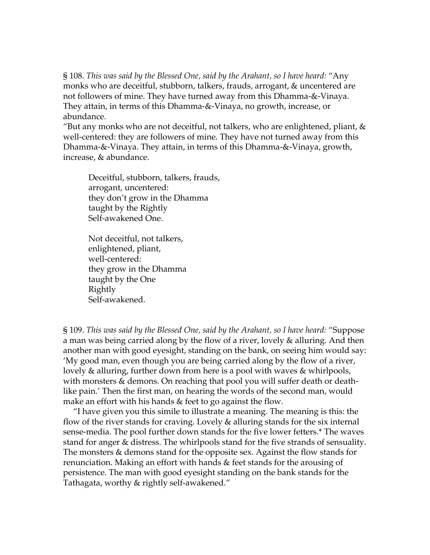§ 108. *This was said by the Blessed One, said by the Arahant, so I have heard:* "Any monks who are deceitful, stubborn, talkers, frauds, arrogant, & uncentered are not followers of mine. They have turned away from this Dhamma-&-Vinaya. They attain, in terms of this Dhamma-&-Vinaya, no growth, increase, or abundance.

"But any monks who are not deceitful, not talkers, who are enlightened, pliant,  $\&$ well-centered: they are followers of mine. They have not turned away from this Dhamma-&-Vinaya. They attain, in terms of this Dhamma-&-Vinaya, growth, increase, & abundance.

Deceitful, stubborn, talkers, frauds, arrogant, uncentered: they don't grow in the Dhamma taught by the Rightly Self-awakened One.

Not deceitful, not talkers, enlightened, pliant, well-centered: they grow in the Dhamma taught by the One Rightly Self-awakened.

§ 109. *This was said by the Blessed One, said by the Arahant, so I have heard:* "Suppose a man was being carried along by the flow of a river, lovely & alluring. And then another man with good eyesight, standing on the bank, on seeing him would say: 'My good man, even though you are being carried along by the flow of a river, lovely & alluring, further down from here is a pool with waves & whirlpools, with monsters & demons. On reaching that pool you will suffer death or deathlike pain.' Then the first man, on hearing the words of the second man, would make an effort with his hands & feet to go against the flow.

"I have given you this simile to illustrate a meaning. The meaning is this: the flow of the river stands for craving. Lovely & alluring stands for the six internal sense-media. The pool further down stands for the five lower fetters.\* The waves stand for anger & distress. The whirlpools stand for the five strands of sensuality. The monsters & demons stand for the opposite sex. Against the flow stands for renunciation. Making an effort with hands & feet stands for the arousing of persistence. The man with good eyesight standing on the bank stands for the Tathagata, worthy & rightly self-awakened."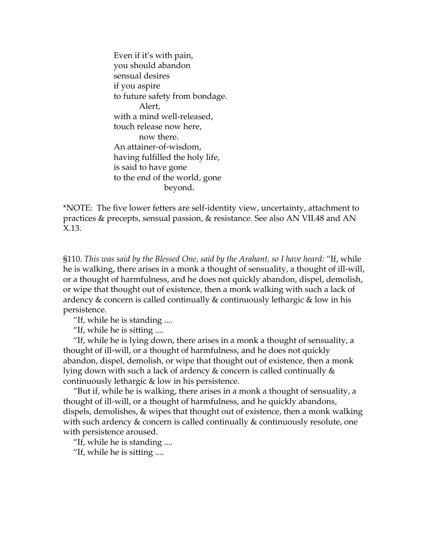Even if it's with pain, you should abandon sensual desires if you aspire to future safety from bondage. Alert, with a mind well-released, touch release now here, now there. An attainer-of-wisdom, having fulfilled the holy life, is said to have gone to the end of the world, gone beyond.

\*NOTE: The five lower fetters are self-identity view, uncertainty, attachment to practices & precepts, sensual passion, & resistance. See also AN VII.48 and AN X.13.

§110. *This was said by the Blessed One, said by the Arahant, so I have heard:* "If, while he is walking, there arises in a monk a thought of sensuality, a thought of ill-will, or a thought of harmfulness, and he does not quickly abandon, dispel, demolish, or wipe that thought out of existence, then a monk walking with such a lack of ardency & concern is called continually & continuously lethargic & low in his persistence.

"If, while he is standing ....

"If, while he is sitting ....

"If, while he is lying down, there arises in a monk a thought of sensuality, a thought of ill-will, or a thought of harmfulness, and he does not quickly abandon, dispel, demolish, or wipe that thought out of existence, then a monk lying down with such a lack of ardency & concern is called continually & continuously lethargic & low in his persistence.

"But if, while he is walking, there arises in a monk a thought of sensuality, a thought of ill-will, or a thought of harmfulness, and he quickly abandons, dispels, demolishes, & wipes that thought out of existence, then a monk walking with such ardency & concern is called continually & continuously resolute, one with persistence aroused.

"If, while he is standing ....

"If, while he is sitting ....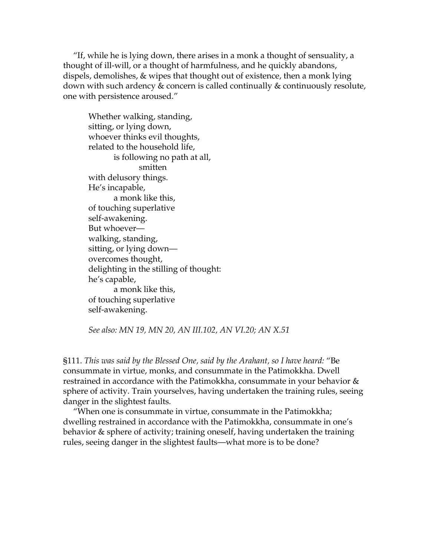"If, while he is lying down, there arises in a monk a thought of sensuality, a thought of ill-will, or a thought of harmfulness, and he quickly abandons, dispels, demolishes, & wipes that thought out of existence, then a monk lying down with such ardency & concern is called continually & continuously resolute, one with persistence aroused."

Whether walking, standing, sitting, or lying down, whoever thinks evil thoughts, related to the household life, is following no path at all, smitten with delusory things. He's incapable, a monk like this, of touching superlative self-awakening. But whoever walking, standing, sitting, or lying down overcomes thought, delighting in the stilling of thought: he's capable, a monk like this, of touching superlative self-awakening.

*See also: MN 19, MN 20, AN III.102, AN VI.20; AN X.51* 

§111. *This was said by the Blessed One, said by the Arahant, so I have heard:* "Be consummate in virtue, monks, and consummate in the Patimokkha. Dwell restrained in accordance with the Patimokkha, consummate in your behavior & sphere of activity. Train yourselves, having undertaken the training rules, seeing danger in the slightest faults.

"When one is consummate in virtue, consummate in the Patimokkha; dwelling restrained in accordance with the Patimokkha, consummate in one's behavior & sphere of activity; training oneself, having undertaken the training rules, seeing danger in the slightest faults—what more is to be done?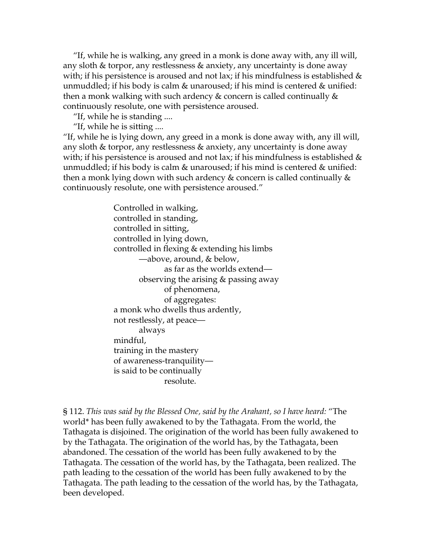"If, while he is walking, any greed in a monk is done away with, any ill will, any sloth & torpor, any restlessness & anxiety, any uncertainty is done away with; if his persistence is aroused and not lax; if his mindfulness is established  $\&$ unmuddled; if his body is calm  $\&$  unaroused; if his mind is centered  $\&$  unified: then a monk walking with such ardency & concern is called continually  $\&$ continuously resolute, one with persistence aroused.

"If, while he is standing ....

"If, while he is sitting ....

"If, while he is lying down, any greed in a monk is done away with, any ill will, any sloth & torpor, any restlessness & anxiety, any uncertainty is done away with; if his persistence is aroused and not lax; if his mindfulness is established  $\&$ unmuddled; if his body is calm  $\&$  unaroused; if his mind is centered  $\&$  unified: then a monk lying down with such ardency & concern is called continually  $\&$ continuously resolute, one with persistence aroused."

> Controlled in walking, controlled in standing, controlled in sitting, controlled in lying down, controlled in flexing & extending his limbs —above, around, & below, as far as the worlds extend observing the arising & passing away of phenomena, of aggregates: a monk who dwells thus ardently, not restlessly, at peace always mindful, training in the mastery of awareness-tranquility is said to be continually resolute.

§ 112. *This was said by the Blessed One, said by the Arahant, so I have heard:* "The world\* has been fully awakened to by the Tathagata. From the world, the Tathagata is disjoined. The origination of the world has been fully awakened to by the Tathagata. The origination of the world has, by the Tathagata, been abandoned. The cessation of the world has been fully awakened to by the Tathagata. The cessation of the world has, by the Tathagata, been realized. The path leading to the cessation of the world has been fully awakened to by the Tathagata. The path leading to the cessation of the world has, by the Tathagata, been developed.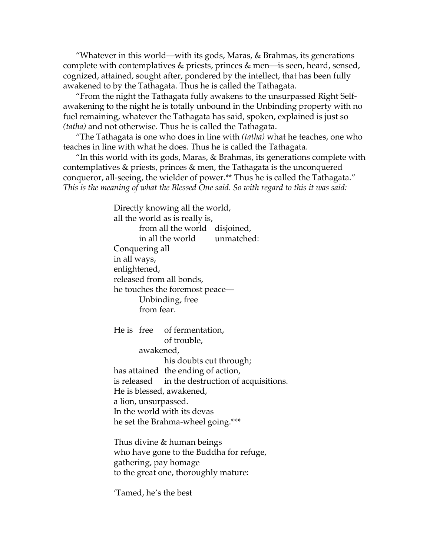"Whatever in this world—with its gods, Maras, & Brahmas, its generations complete with contemplatives & priests, princes & men—is seen, heard, sensed, cognized, attained, sought after, pondered by the intellect, that has been fully awakened to by the Tathagata. Thus he is called the Tathagata.

"From the night the Tathagata fully awakens to the unsurpassed Right Selfawakening to the night he is totally unbound in the Unbinding property with no fuel remaining, whatever the Tathagata has said, spoken, explained is just so *(tatha)* and not otherwise. Thus he is called the Tathagata.

"The Tathagata is one who does in line with *(tatha)* what he teaches, one who teaches in line with what he does. Thus he is called the Tathagata.

"In this world with its gods, Maras, & Brahmas, its generations complete with contemplatives & priests, princes & men, the Tathagata is the unconquered conqueror, all-seeing, the wielder of power.\*\* Thus he is called the Tathagata." *This is the meaning of what the Blessed One said. So with regard to this it was said:* 

> Directly knowing all the world, all the world as is really is, from all the world disjoined, in all the world unmatched: Conquering all in all ways, enlightened, released from all bonds, he touches the foremost peace— Unbinding, free from fear. He is free of fermentation, of trouble, awakened, his doubts cut through; has attained the ending of action, is released in the destruction of acquisitions. He is blessed, awakened, a lion, unsurpassed. In the world with its devas he set the Brahma-wheel going.\*\*\* Thus divine & human beings

who have gone to the Buddha for refuge, gathering, pay homage to the great one, thoroughly mature:

'Tamed, he's the best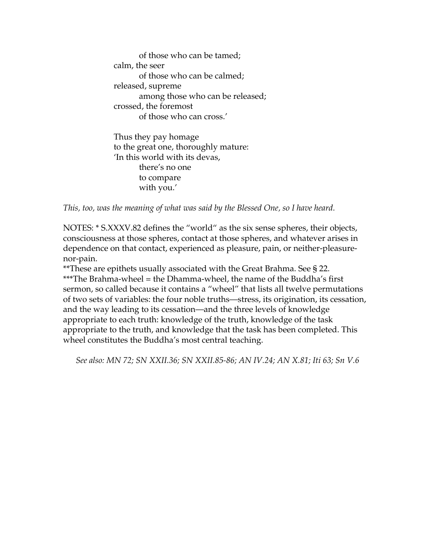of those who can be tamed; calm, the seer of those who can be calmed; released, supreme among those who can be released; crossed, the foremost of those who can cross.'

Thus they pay homage to the great one, thoroughly mature: 'In this world with its devas, there's no one to compare with you.'

*This, too, was the meaning of what was said by the Blessed One, so I have heard.* 

NOTES: \* S.XXXV.82 defines the "world" as the six sense spheres, their objects, consciousness at those spheres, contact at those spheres, and whatever arises in dependence on that contact, experienced as pleasure, pain, or neither-pleasurenor-pain.

\*\*These are epithets usually associated with the Great Brahma. See § 22. \*\*\*The Brahma-wheel = the Dhamma-wheel, the name of the Buddha's first sermon, so called because it contains a "wheel" that lists all twelve permutations of two sets of variables: the four noble truths—stress, its origination, its cessation, and the way leading to its cessation—and the three levels of knowledge appropriate to each truth: knowledge of the truth, knowledge of the task appropriate to the truth, and knowledge that the task has been completed. This wheel constitutes the Buddha's most central teaching.

*See also: MN 72; SN XXII.36; SN XXII.85-86; AN IV.24; AN X.81; Iti 63; Sn V.6*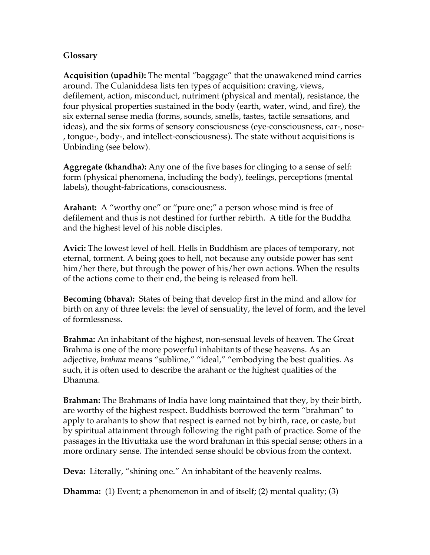## **Glossary**

**Acquisition (upadhi):** The mental "baggage" that the unawakened mind carries around. The Culaniddesa lists ten types of acquisition: craving, views, defilement, action, misconduct, nutriment (physical and mental), resistance, the four physical properties sustained in the body (earth, water, wind, and fire), the six external sense media (forms, sounds, smells, tastes, tactile sensations, and ideas), and the six forms of sensory consciousness (eye-consciousness, ear-, nose- , tongue-, body-, and intellect-consciousness). The state without acquisitions is Unbinding (see below).

**Aggregate (khandha):** Any one of the five bases for clinging to a sense of self: form (physical phenomena, including the body), feelings, perceptions (mental labels), thought-fabrications, consciousness.

**Arahant:** A "worthy one" or "pure one;" a person whose mind is free of defilement and thus is not destined for further rebirth. A title for the Buddha and the highest level of his noble disciples.

**Avici:** The lowest level of hell. Hells in Buddhism are places of temporary, not eternal, torment. A being goes to hell, not because any outside power has sent him/her there, but through the power of his/her own actions. When the results of the actions come to their end, the being is released from hell.

**Becoming (bhava):** States of being that develop first in the mind and allow for birth on any of three levels: the level of sensuality, the level of form, and the level of formlessness.

**Brahma:** An inhabitant of the highest, non-sensual levels of heaven. The Great Brahma is one of the more powerful inhabitants of these heavens. As an adjective, *brahma* means "sublime," "ideal," "embodying the best qualities. As such, it is often used to describe the arahant or the highest qualities of the Dhamma.

**Brahman:** The Brahmans of India have long maintained that they, by their birth, are worthy of the highest respect. Buddhists borrowed the term "brahman" to apply to arahants to show that respect is earned not by birth, race, or caste, but by spiritual attainment through following the right path of practice. Some of the passages in the Itivuttaka use the word brahman in this special sense; others in a more ordinary sense. The intended sense should be obvious from the context.

**Deva:** Literally, "shining one." An inhabitant of the heavenly realms.

**Dhamma:** (1) Event; a phenomenon in and of itself; (2) mental quality; (3)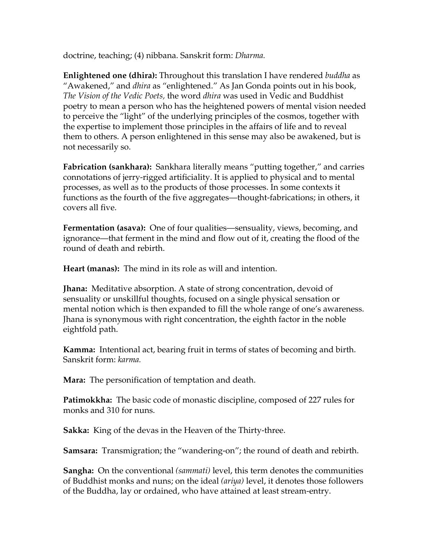doctrine, teaching; (4) nibbana. Sanskrit form: *Dharma.* 

**Enlightened one (dhira):** Throughout this translation I have rendered *buddha* as "Awakened," and *dhira* as "enlightened." As Jan Gonda points out in his book, *The Vision of the Vedic Poets,* the word *dhira* was used in Vedic and Buddhist poetry to mean a person who has the heightened powers of mental vision needed to perceive the "light" of the underlying principles of the cosmos, together with the expertise to implement those principles in the affairs of life and to reveal them to others. A person enlightened in this sense may also be awakened, but is not necessarily so.

**Fabrication (sankhara):** Sankhara literally means "putting together," and carries connotations of jerry-rigged artificiality. It is applied to physical and to mental processes, as well as to the products of those processes. In some contexts it functions as the fourth of the five aggregates—thought-fabrications; in others, it covers all five.

**Fermentation (asava):** One of four qualities—sensuality, views, becoming, and ignorance—that ferment in the mind and flow out of it, creating the flood of the round of death and rebirth.

**Heart (manas):** The mind in its role as will and intention.

**Jhana:** Meditative absorption. A state of strong concentration, devoid of sensuality or unskillful thoughts, focused on a single physical sensation or mental notion which is then expanded to fill the whole range of one's awareness. Jhana is synonymous with right concentration, the eighth factor in the noble eightfold path.

**Kamma:** Intentional act, bearing fruit in terms of states of becoming and birth. Sanskrit form: *karma.*

**Mara:** The personification of temptation and death.

**Patimokkha:** The basic code of monastic discipline, composed of 227 rules for monks and 310 for nuns.

**Sakka:** King of the devas in the Heaven of the Thirty-three.

**Samsara:** Transmigration; the "wandering-on"; the round of death and rebirth.

**Sangha:** On the conventional *(sammati)* level, this term denotes the communities of Buddhist monks and nuns; on the ideal *(ariya)* level, it denotes those followers of the Buddha, lay or ordained, who have attained at least stream-entry.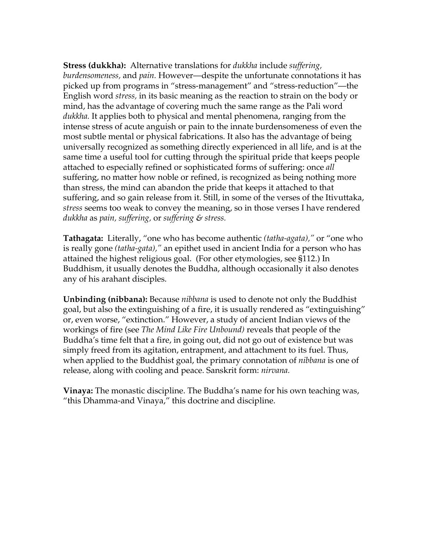**Stress (dukkha):** Alternative translations for *dukkha* include *suffering, burdensomeness,* and *pain.* However—despite the unfortunate connotations it has picked up from programs in "stress-management" and "stress-reduction"—the English word *stress,* in its basic meaning as the reaction to strain on the body or mind, has the advantage of covering much the same range as the Pali word *dukkha.* It applies both to physical and mental phenomena, ranging from the intense stress of acute anguish or pain to the innate burdensomeness of even the most subtle mental or physical fabrications. It also has the advantage of being universally recognized as something directly experienced in all life, and is at the same time a useful tool for cutting through the spiritual pride that keeps people attached to especially refined or sophisticated forms of suffering: once *all* suffering, no matter how noble or refined, is recognized as being nothing more than stress, the mind can abandon the pride that keeps it attached to that suffering, and so gain release from it. Still, in some of the verses of the Itivuttaka, *stress* seems too weak to convey the meaning, so in those verses I have rendered *dukkha* as *pain, suffering,* or *suffering & stress.*

**Tathagata:** Literally, "one who has become authentic *(tatha-agata),"* or "one who is really gone *(tatha-gata),"* an epithet used in ancient India for a person who has attained the highest religious goal. (For other etymologies, see §112.) In Buddhism, it usually denotes the Buddha, although occasionally it also denotes any of his arahant disciples.

**Unbinding (nibbana):** Because *nibbana* is used to denote not only the Buddhist goal, but also the extinguishing of a fire, it is usually rendered as "extinguishing" or, even worse, "extinction." However, a study of ancient Indian views of the workings of fire (see *The Mind Like Fire Unbound)* reveals that people of the Buddha's time felt that a fire, in going out, did not go out of existence but was simply freed from its agitation, entrapment, and attachment to its fuel. Thus, when applied to the Buddhist goal, the primary connotation of *nibbana* is one of release, along with cooling and peace. Sanskrit form: *nirvana.* 

**Vinaya:** The monastic discipline. The Buddha's name for his own teaching was, "this Dhamma-and Vinaya," this doctrine and discipline.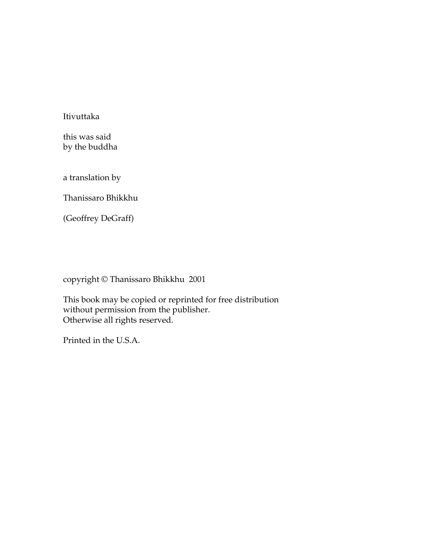Itivuttaka

this was said by the buddha

a translation by

Thanissaro Bhikkhu

(Geoffrey DeGraff)

copyright © Thanissaro Bhikkhu 2001

This book may be copied or reprinted for free distribution without permission from the publisher. Otherwise all rights reserved.

Printed in the U.S.A.